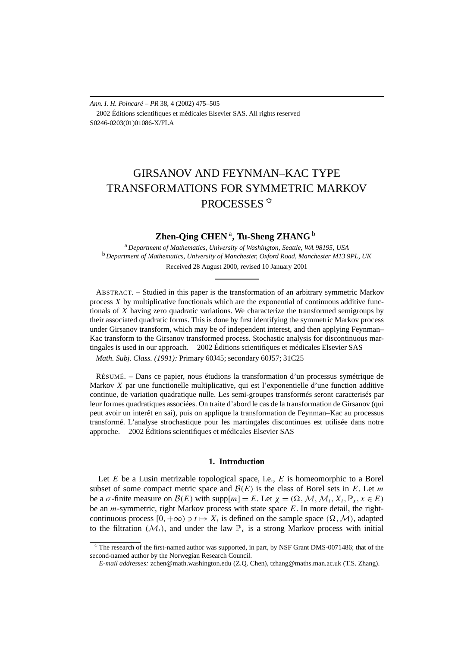*Ann. I. H. Poincaré – PR* 38, 4 (2002) 475–505 2002 Éditions scientifiques et médicales Elsevier SAS. All rights reserved S0246-0203(01)01086-X/FLA

# GIRSANOV AND FEYNMAN–KAC TYPE TRANSFORMATIONS FOR SYMMETRIC MARKOV PROCESSES<sup>\*</sup>

## **Zhen-Qing CHEN** <sup>a</sup>**, Tu-Sheng ZHANG** <sup>b</sup>

<sup>a</sup> *Department of Mathematics, University of Washington, Seattle, WA 98195, USA* <sup>b</sup> *Department of Mathematics, University of Manchester, Oxford Road, Manchester M13 9PL, UK* Received 28 August 2000, revised 10 January 2001

ABSTRACT. – Studied in this paper is the transformation of an arbitrary symmetric Markov process *X* by multiplicative functionals which are the exponential of continuous additive functionals of *X* having zero quadratic variations. We characterize the transformed semigroups by their associated quadratic forms. This is done by first identifying the symmetric Markov process under Girsanov transform, which may be of independent interest, and then applying Feynman– Kac transform to the Girsanov transformed process. Stochastic analysis for discontinuous martingales is used in our approach.  $\circ$  2002 Éditions scientifiques et médicales Elsevier SAS

*Math. Subj. Class. (1991):* Primary 60J45; secondary 60J57; 31C25

RÉSUMÉ. – Dans ce papier, nous étudions la transformation d'un processus symétrique de Markov *X* par une functionelle multiplicative, qui est l'exponentielle d'une function additive continue, de variation quadratique nulle. Les semi-groupes transformés seront caracterisés par leur formes quadratiques associées. On traite d'abord le cas de la transformation de Girsanov (qui peut avoir un interêt en sai), puis on applique la transformation de Feynman–Kac au processus transformé. L'analyse strochastique pour les martingales discontinues est utilisée dans notre approche. 2002 Éditions scientifiques et médicales Elsevier SAS

## **1. Introduction**

Let *E* be a Lusin metrizable topological space, i.e., *E* is homeomorphic to a Borel subset of some compact metric space and  $\mathcal{B}(E)$  is the class of Borel sets in  $E$ . Let  $m$ be a *σ*-finite measure on  $\mathcal{B}(E)$  with supp $[m] = E$ . Let  $\chi = (\Omega, \mathcal{M}, \mathcal{M}_t, X_t, \mathbb{P}_x, x \in E)$ be an *m*-symmetric, right Markov process with state space *E*. In more detail, the rightcontinuous process  $[0, +\infty) \ni t \mapsto X_t$  is defined on the sample space  $(\Omega, \mathcal{M})$ , adapted to the filtration  $(M_t)$ , and under the law  $\mathbb{P}_x$  is a strong Markov process with initial

<sup>✩</sup> The research of the first-named author was supported, in part, by NSF Grant DMS-0071486; that of the second-named author by the Norwegian Research Council.

*E-mail addresses:* zchen@math.washington.edu (Z.Q. Chen), tzhang@maths.man.ac.uk (T.S. Zhang).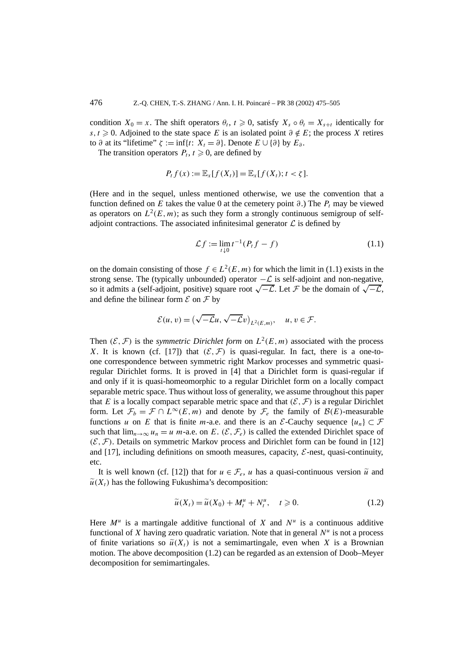condition  $X_0 = x$ . The shift operators  $\theta_t$ ,  $t \ge 0$ , satisfy  $X_s \circ \theta_t = X_{s+t}$  identically for *s,t*  $\geq$  0. Adjoined to the state space *E* is an isolated point  $\partial \notin E$ ; the process *X* retires to  $\partial$  at its "lifetime"  $\zeta := \inf\{t: X_t = \partial\}$ . Denote  $E \cup \{\partial\}$  by  $E_{\partial}$ .

The transition operators  $P_t$ ,  $t \geq 0$ , are defined by

$$
P_t f(x) := \mathbb{E}_x[f(X_t)] = \mathbb{E}_x[f(X_t); t < \zeta].
$$

(Here and in the sequel, unless mentioned otherwise, we use the convention that a function defined on *E* takes the value 0 at the cemetery point  $\partial$ .) The  $P_t$  may be viewed as operators on  $L^2(E, m)$ ; as such they form a strongly continuous semigroup of selfadjoint contractions. The associated infinitesimal generator  $\mathcal L$  is defined by

$$
\mathcal{L}f := \lim_{t \downarrow 0} t^{-1} (P_t f - f) \tag{1.1}
$$

on the domain consisting of those  $f \in L^2(E, m)$  for which the limit in (1.1) exists in the strong sense. The (typically unbounded) operator  $-\mathcal{L}$  is self-adjoint and non-negative, so it admits a (self-adjoint, positive) square root  $\sqrt{-\mathcal{L}}$ . Let F be the domain of  $\sqrt{-\mathcal{L}}$ , and define the bilinear form  $\mathcal E$  on  $\mathcal F$  by

$$
\mathcal{E}(u,v) = \left(\sqrt{-\mathcal{L}}u, \sqrt{-\mathcal{L}}v\right)_{L^2(E,m)}, \quad u, v \in \mathcal{F}.
$$

Then  $(\mathcal{E}, \mathcal{F})$  is the *symmetric Dirichlet form* on  $L^2(E, m)$  associated with the process *X*. It is known (cf. [17]) that  $(\mathcal{E}, \mathcal{F})$  is quasi-regular. In fact, there is a one-toone correspondence between symmetric right Markov processes and symmetric quasiregular Dirichlet forms. It is proved in [4] that a Dirichlet form is quasi-regular if and only if it is quasi-homeomorphic to a regular Dirichlet form on a locally compact separable metric space. Thus without loss of generality, we assume throughout this paper that *E* is a locally compact separable metric space and that  $(\mathcal{E}, \mathcal{F})$  is a regular Dirichlet form. Let  $\mathcal{F}_b = \mathcal{F} \cap L^{\infty}(E, m)$  and denote by  $\mathcal{F}_e$  the family of  $\mathcal{B}(E)$ -measurable functions *u* on *E* that is finite *m*-a.e. and there is an *E*-Cauchy sequence  $\{u_n\} \subset \mathcal{F}$ such that  $\lim_{n\to\infty} u_n = u$  *m*-a.e. on *E*. (*E*,  $\mathcal{F}_e$ ) is called the extended Dirichlet space of  $(\mathcal{E}, \mathcal{F})$ . Details on symmetric Markov process and Dirichlet form can be found in [12] and  $[17]$ , including definitions on smooth measures, capacity,  $\mathcal{E}$ -nest, quasi-continuity, etc.

It is well known (cf. [12]) that for  $u \in \mathcal{F}_e$ , *u* has a quasi-continuous version  $\tilde{u}$  and  $\tilde{u}(X_t)$  has the following Fukushima's decomposition:

$$
\widetilde{u}(X_t) = \widetilde{u}(X_0) + M_t^u + N_t^u, \quad t \ge 0.
$$
\n(1.2)

Here  $M^u$  is a martingale additive functional of X and  $N^u$  is a continuous additive functional of *X* having zero quadratic variation. Note that in general  $N^u$  is not a process of finite variations so  $\tilde{u}(X_t)$  is not a semimartingale, even when X is a Brownian motion. The above decomposition (1.2) can be regarded as an extension of Doob–Meyer decomposition for semimartingales.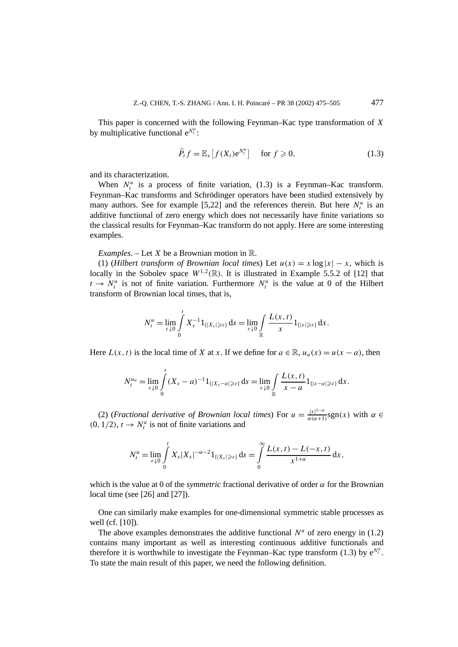This paper is concerned with the following Feynman–Kac type transformation of *X* by multiplicative functional  $e^{N_t^u}$ :

$$
\widehat{P}_t f = \mathbb{E}_x \big[ f(X_t) e^{N_t^u} \big] \quad \text{ for } f \geqslant 0,
$$
\n(1.3)

and its characterization.

When  $N_t^u$  is a process of finite variation, (1.3) is a Feynman–Kac transform. Feynman–Kac transforms and Schrödinger operators have been studied extensively by many authors. See for example [5,22] and the references therein. But here  $N_t^u$  is an additive functional of zero energy which does not necessarily have finite variations so the classical results for Feynman–Kac transform do not apply. Here are some interesting examples.

*Examples*. – Let *X* be a Brownian motion in R.

(1) (*Hilbert transform of Brownian local times*) Let  $u(x) = x \log |x| - x$ , which is locally in the Sobolev space  $W^{1,2}(\mathbb{R})$ . It is illustrated in Example 5.5.2 of [12] that  $t \rightarrow N_t^u$  is not of finite variation. Furthermore  $N_t^u$  is the value at 0 of the Hilbert transform of Brownian local times, that is,

$$
N_t^u = \lim_{\varepsilon \downarrow 0} \int_0^t X_s^{-1} 1_{\{|X_s| \geq \varepsilon\}} ds = \lim_{\varepsilon \downarrow 0} \int_{\mathbb{R}} \frac{L(x,t)}{x} 1_{\{|x| \geq \varepsilon\}} dx.
$$

Here  $L(x, t)$  is the local time of *X* at *x*. If we define for  $a \in \mathbb{R}$ ,  $u_a(x) = u(x - a)$ , then

$$
N_t^{u_a} = \lim_{\varepsilon \downarrow 0} \int_0^t (X_s - a)^{-1} 1_{\{|X_s - a| \ge \varepsilon\}} ds = \lim_{\varepsilon \downarrow 0} \int_{\mathbb{R}} \frac{L(x, t)}{x - a} 1_{\{|x - a| \ge \varepsilon\}} dx.
$$

(2) (*Fractional derivative of Brownian local times*) For  $u = \frac{|x|^{1-\alpha}}{\alpha(\alpha+1)}$  $\frac{|x|^{1-\alpha}}{\alpha(\alpha+1)}$ sgn(x) with  $\alpha \in$  $(0, 1/2)$ ,  $t \rightarrow N_t^u$  is not of finite variations and

$$
N_t^u = \lim_{\varepsilon \downarrow 0} \int_0^t X_s |X_s|^{-\alpha - 2} 1_{\{|X_s| \geq \varepsilon\}} ds = \int_0^\infty \frac{L(x,t) - L(-x,t)}{x^{1+\alpha}} dx,
$$

which is the value at 0 of the *symmetric* fractional derivative of order *α* for the Brownian local time (see [26] and [27]).

One can similarly make examples for one-dimensional symmetric stable processes as well (cf. [10]).

The above examples demonstrates the additive functional  $N^u$  of zero energy in (1.2) contains many important as well as interesting continuous additive functionals and therefore it is worthwhile to investigate the Feynman–Kac type transform (1.3) by  $e^{N_t^u}$ . To state the main result of this paper, we need the following definition.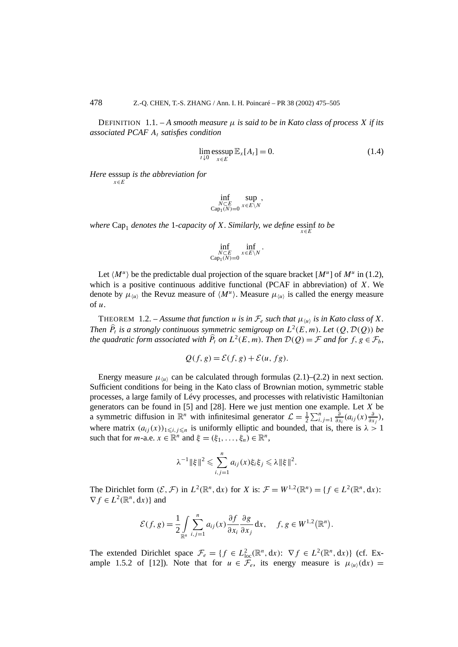DEFINITION  $1.1 - A$  *smooth measure*  $\mu$  *is said to be in Kato class of process X if its associated PCAF At satisfies condition*

$$
\lim_{t \downarrow 0} \underset{x \in E}{\operatorname{esssup}} \mathbb{E}_x[A_t] = 0. \tag{1.4}
$$

*Here* esssup *is the abbreviation for x*∈*E*

$$
\inf_{\substack{N\subset E\\ \text{Cap}_1(N)=0}} \sup_{x\in E\setminus N},
$$

*where* Cap<sub>1</sub> *denotes the* 1*-capacity of X. Similarly, we define* essinf *to be*  $\int_{x \in E}$ 

$$
\inf_{\substack{N\subset E\\ \text{Cap}_1(N)=0}} \inf_{x\in E\setminus N}.
$$

Let  $\langle M^{\mu} \rangle$  be the predictable dual projection of the square bracket  $[M^{\mu}]$  of  $M^{\mu}$  in (1.2), which is a positive continuous additive functional (PCAF in abbreviation) of *X*. We denote by  $\mu_{\langle u \rangle}$  the Revuz measure of  $\langle M^u \rangle$ . Measure  $\mu_{\langle u \rangle}$  is called the energy measure of *u*.

THEOREM 1.2. – Assume that function *u* is in  $\mathcal{F}_e$  such that  $\mu_{\langle u \rangle}$  is in Kato class of X. *Then*  $\hat{P}_t$  *is a strongly continuous symmetric semigroup on*  $L^2(E, m)$ *. Let*  $(Q, \mathcal{D}(Q))$  *be the quadratic form associated with*  $\hat{P}_t$  *on*  $L^2(E, m)$ *. Then*  $\mathcal{D}(Q) = \mathcal{F}$  *and for*  $f, g \in \mathcal{F}_b$ *,* 

$$
Q(f, g) = \mathcal{E}(f, g) + \mathcal{E}(u, fg).
$$

Energy measure  $\mu_{\langle u \rangle}$  can be calculated through formulas (2.1)–(2.2) in next section. Sufficient conditions for being in the Kato class of Brownian motion, symmetric stable processes, a large family of Lévy processes, and processes with relativistic Hamiltonian generators can be found in [5] and [28]. Here we just mention one example. Let *X* be a symmetric diffusion in  $\mathbb{R}^n$  with infinitesimal generator  $\mathcal{L} = \frac{1}{2} \sum_{i,j=1}^n \frac{\partial}{\partial x^j}$ *∂xi (aij (x) <sup>∂</sup> ∂xj )*, where matrix  $(a_{ij}(x))_{1 \le i,j \le n}$  is uniformly elliptic and bounded, that is, there is  $\lambda > 1$ such that for *m*-a.e.  $x \in \mathbb{R}^n$  and  $\xi = (\xi_1, \ldots, \xi_n) \in \mathbb{R}^n$ ,

$$
\lambda^{-1} \|\xi\|^2 \leq \sum_{i,j=1}^n a_{ij}(x)\xi_i \xi_j \leq \lambda \|\xi\|^2.
$$

The Dirichlet form  $(\mathcal{E}, \mathcal{F})$  in  $L^2(\mathbb{R}^n, dx)$  for *X* is:  $\mathcal{F} = W^{1,2}(\mathbb{R}^n) = \{f \in L^2(\mathbb{R}^n, dx):$  $\nabla f \in L^2(\mathbb{R}^n, dx)$ } and

$$
\mathcal{E}(f,g) = \frac{1}{2} \int_{\mathbb{R}^n} \sum_{i,j=1}^n a_{ij}(x) \frac{\partial f}{\partial x_i} \frac{\partial g}{\partial x_j} dx, \quad f, g \in W^{1,2}(\mathbb{R}^n).
$$

The extended Dirichlet space  $\mathcal{F}_e = \{f \in L^2_{loc}(\mathbb{R}^n, dx): \nabla f \in L^2(\mathbb{R}^n, dx)\}\$  (cf. Example 1.5.2 of [12]). Note that for  $u \in \mathcal{F}_e$ , its energy measure is  $\mu_{\langle u \rangle}(dx) =$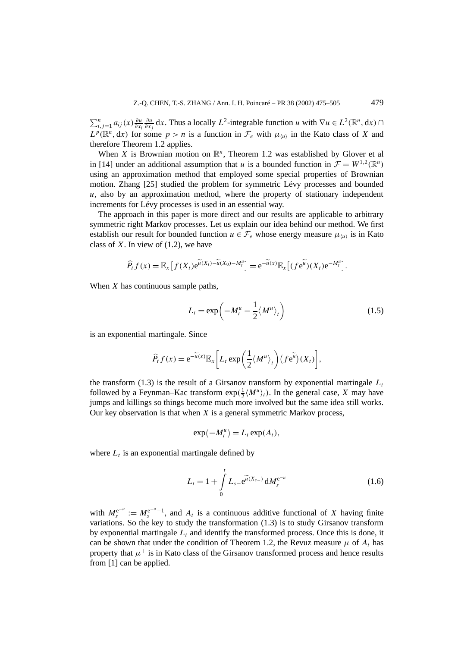$\sum_{i,j=1}^{n} a_{ij}(x) \frac{\partial u}{\partial x_i}$ *∂u*  $\frac{\partial u}{\partial x_j}$ **d***x*. Thus a locally *L*<sup>2</sup>-integrable function *u* with  $\nabla u \in L^2(\mathbb{R}^n, dx)$  ∩  $L^p(\mathbb{R}^n, dx)$  for some  $p > n$  is a function in  $\mathcal{F}_e$  with  $\mu_{\{u\}}$  in the Kato class of *X* and therefore Theorem 1.2 applies.

When *X* is Brownian motion on  $\mathbb{R}^n$ , Theorem 1.2 was established by Glover et all in [14] under an additional assumption that *u* is a bounded function in  $\mathcal{F} = W^{1,2}(\mathbb{R}^n)$ using an approximation method that employed some special properties of Brownian motion. Zhang [25] studied the problem for symmetric Lévy processes and bounded *u*, also by an approximation method, where the property of stationary independent increments for Lévy processes is used in an essential way.

The approach in this paper is more direct and our results are applicable to arbitrary symmetric right Markov processes. Let us explain our idea behind our method. We first establish our result for bounded function  $u \in \mathcal{F}_e$  whose energy measure  $\mu_{\langle u \rangle}$  is in Kato class of *X*. In view of (1.2), we have

$$
\widehat{P}_t f(x) = \mathbb{E}_x \big[ f(X_t) e^{\widetilde{u}(X_t) - \widetilde{u}(X_0) - M_t^u} \big] = e^{-\widetilde{u}(x)} \mathbb{E}_x \big[ (f e^{\widetilde{u}})(X_t) e^{-M_t^u} \big].
$$

When *X* has continuous sample paths,

$$
L_t = \exp\left(-M_t^u - \frac{1}{2} \langle M^u \rangle_t\right) \tag{1.5}
$$

is an exponential martingale. Since

$$
\widehat{P}_t f(x) = e^{-\widetilde{u}(x)} \mathbb{E}_x \left[ L_t \exp \left( \frac{1}{2} \langle M^u \rangle_t \right) (f e^{\widetilde{u}}) (X_t) \right],
$$

the transform (1.3) is the result of a Girsanov transform by exponential martingale  $L_t$ followed by a Feynman–Kac transform  $exp(\frac{1}{2} \langle M^u \rangle_t)$ . In the general case, *X* may have jumps and killings so things become much more involved but the same idea still works. Our key observation is that when *X* is a general symmetric Markov process,

$$
\exp(-M_t^u) = L_t \exp(A_t),
$$

where  $L_t$  is an exponential martingale defined by

$$
L_t = 1 + \int_0^t L_{s-} e^{\widetilde{u}(X_{s-})} dM_s^{e^{-u}}
$$
 (1.6)

with  $M_s^{e^{-u}} := M_s^{e^{-u}-1}$ , and  $A_t$  is a continuous additive functional of *X* having finite variations. So the key to study the transformation (1.3) is to study Girsanov transform by exponential martingale  $L<sub>t</sub>$  and identify the transformed process. Once this is done, it can be shown that under the condition of Theorem 1.2, the Revuz measure  $\mu$  of  $A_t$  has property that  $\mu^+$  is in Kato class of the Girsanov transformed process and hence results from [1] can be applied.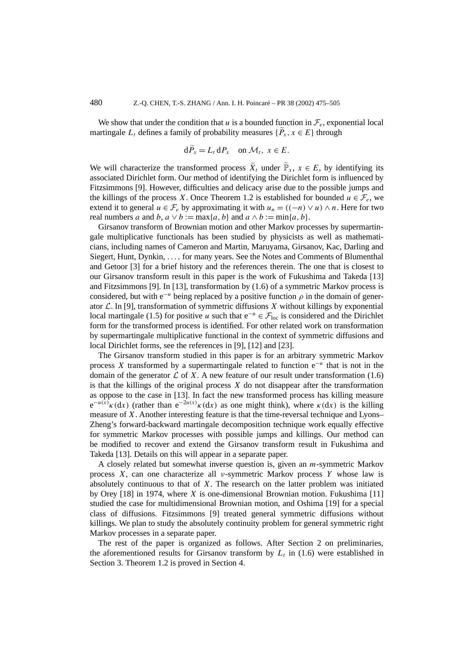We show that under the condition that *u* is a bounded function in  $\mathcal{F}_e$ , exponential local martingale  $L_t$  defines a family of probability measures  $\{P_x, x \in E\}$  through

$$
\mathrm{d}P_x = L_t \,\mathrm{d}P_x \quad \text{on } \mathcal{M}_t, \ x \in E.
$$

We will characterize the transformed process  $\widetilde{X}_t$  under  $\widetilde{\mathbb{P}}_x$ ,  $x \in E$ , by identifying its associated Dirichlet form. Our method of identifying the Dirichlet form is influenced by Fitzsimmons [9]. However, difficulties and delicacy arise due to the possible jumps and the killings of the process *X*. Once Theorem 1.2 is established for bounded  $u \in \mathcal{F}_e$ , we extend it to general  $u \in \mathcal{F}_e$  by approximating it with  $u_n = ((-n) \vee u) \wedge n$ . Here for two real numbers *a* and *b*,  $a \lor b := \max\{a, b\}$  and  $a \land b := \min\{a, b\}.$ 

Girsanov transform of Brownian motion and other Markov processes by supermartingale multiplicative functionals has been studied by physicists as well as mathematicians, including names of Cameron and Martin, Maruyama, Girsanov, Kac, Darling and Siegert, Hunt, Dynkin, *...,* for many years. See the Notes and Comments of Blumenthal and Getoor [3] for a brief history and the references therein. The one that is closest to our Girsanov transform result in this paper is the work of Fukushima and Takeda [13] and Fitzsimmons [9]. In [13], transformation by (1.6) of a symmetric Markov process is considered, but with  $e^{-u}$  being replaced by a positive function  $\rho$  in the domain of generator  $\mathcal{L}$ . In [9], transformation of symmetric diffusions  $X$  without killings by exponential local martingale (1.5) for positive *u* such that  $e^{-u} \in \mathcal{F}_{loc}$  is considered and the Dirichlet form for the transformed process is identified. For other related work on transformation by supermartingale multiplicative functional in the context of symmetric diffusions and local Dirichlet forms, see the references in [9], [12] and [23].

The Girsanov transform studied in this paper is for an arbitrary symmetric Markov process *X* transformed by a supermartingale related to function e<sup>−</sup>*<sup>u</sup>* that is not in the domain of the generator  $\mathcal L$  of X. A new feature of our result under transformation (1.6) is that the killings of the original process *X* do not disappear after the transformation as oppose to the case in [13]. In fact the new transformed process has killing measure  $e^{-u(x)} \kappa(dx)$  (rather than  $e^{-2u(x)} \kappa(dx)$  as one might think), where  $\kappa(dx)$  is the killing measure of *X*. Another interesting feature is that the time-reversal technique and Lyons– Zheng's forward-backward martingale decomposition technique work equally effective for symmetric Markov processes with possible jumps and killings. Our method can be modified to recover and extend the Girsanov transform result in Fukushima and Takeda [13]. Details on this will appear in a separate paper.

A closely related but somewhat inverse question is, given an *m*-symmetric Markov process *X*, can one characterize all *ν*-symmetric Markov process *Y* whose law is absolutely continuous to that of *X*. The research on the latter problem was initiated by Orey [18] in 1974, where *X* is one-dimensional Brownian motion. Fukushima [11] studied the case for multidimensional Brownian motion, and Oshima [19] for a special class of diffusions. Fitzsimmons [9] treated general symmetric diffusions without killings. We plan to study the absolutely continuity problem for general symmetric right Markov processes in a separate paper.

The rest of the paper is organized as follows. After Section 2 on preliminaries, the aforementioned results for Girsanov transform by  $L<sub>t</sub>$  in (1.6) were established in Section 3. Theorem 1.2 is proved in Section 4.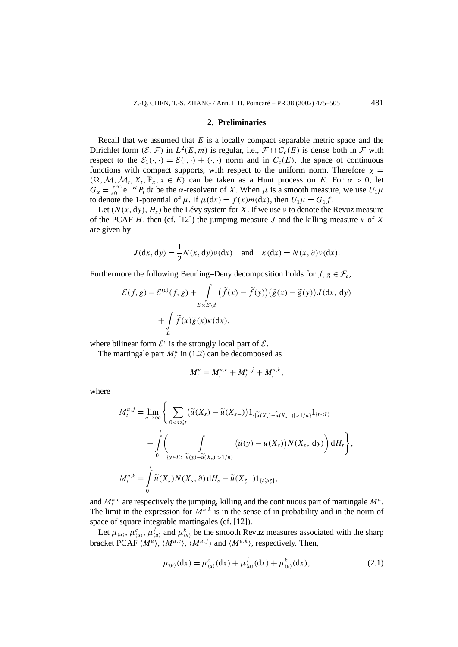#### **2. Preliminaries**

Recall that we assumed that *E* is a locally compact separable metric space and the Dirichlet form  $(\mathcal{E}, \mathcal{F})$  in  $L^2(E, m)$  is regular, i.e.,  $\mathcal{F} \cap C_c(E)$  is dense both in  $\mathcal{F}$  with respect to the  $\mathcal{E}_1(\cdot, \cdot) = \mathcal{E}(\cdot, \cdot) + (\cdot, \cdot)$  norm and in  $C_c(E)$ , the space of continuous functions with compact supports, with respect to the uniform norm. Therefore  $\chi$  =  $(\Omega, \mathcal{M}, \mathcal{M}_t, X_t, \mathbb{P}_x, x \in E)$  can be taken as a Hunt process on *E*. For  $\alpha > 0$ , let  $G_{\alpha} = \int_0^{\infty} e^{-\alpha t} P_t dt$  be the *α*-resolvent of *X*. When  $\mu$  is a smooth measure, we use  $U_1 \mu$ to denote the 1-potential of  $\mu$ . If  $\mu(dx) = f(x)m(dx)$ , then  $U_1\mu = G_1f$ .

Let  $(N(x, dy), H_s)$  be the Lévy system for X. If we use *ν* to denote the Revuz measure of the PCAF *H*, then (cf. [12]) the jumping measure *J* and the killing measure  $\kappa$  of *X* are given by

$$
J(dx, dy) = \frac{1}{2}N(x, dy)\nu(dx) \text{ and } \kappa(dx) = N(x, \partial)\nu(dx).
$$

Furthermore the following Beurling–Deny decomposition holds for  $f, g \in \mathcal{F}_e$ ,

$$
\mathcal{E}(f,g) = \mathcal{E}^{(c)}(f,g) + \int_{E \times E \backslash d} (\tilde{f}(x) - \tilde{f}(y))(\tilde{g}(x) - \tilde{g}(y)) J(dx, dy)
$$

$$
+ \int_{E} \tilde{f}(x)\tilde{g}(x)\kappa(dx),
$$

where bilinear form  $\mathcal{E}^c$  is the strongly local part of  $\mathcal{E}$ .

The martingale part  $M_t^u$  in (1.2) can be decomposed as

$$
M_t^u = M_t^{u,c} + M_t^{u,j} + M_t^{u,k},
$$

where

$$
M_t^{u,j} = \lim_{n \to \infty} \left\{ \sum_{0 < s \leq t} \left( \widetilde{u}(X_s) - \widetilde{u}(X_{s-}) \right) 1_{\{\vert \widetilde{u}(X_s) - \widetilde{u}(X_{s-}) \vert > 1/n\}} 1_{\{t < \xi\}} \right. \\ \left. - \int\limits_0^t \left( \int\limits_{\{y \in E: \ \vert \widetilde{u}(y) - \widetilde{u}(X_s) \vert > 1/n\}} \left( \widetilde{u}(y) - \widetilde{u}(X_s) \right) N(X_s, \, dy) \right) \mathrm{d}H_s \right\},
$$
\n
$$
M_t^{u,k} = \int\limits_0^t \widetilde{u}(X_s) N(X_s, \, \partial) \, \mathrm{d}H_s - \widetilde{u}(X_{\zeta-}) 1_{\{t \geq \xi\}},
$$

and  $M_t^{u,c}$  are respectively the jumping, killing and the continuous part of martingale  $M^u$ . The limit in the expression for  $M^{u,k}$  is in the sense of in probability and in the norm of space of square integrable martingales (cf. [12]).

Let  $\mu_{\langle u \rangle}, \mu_{\langle u \rangle}^i$ ,  $\mu_{\langle u \rangle}^j$  and  $\mu_{\langle u \rangle}^k$  be the smooth Revuz measures associated with the sharp bracket PCAF  $\langle M^u \rangle$ ,  $\langle M^{u,c} \rangle$ ,  $\langle M^{u,j} \rangle$  and  $\langle M^{u,k} \rangle$ , respectively. Then,

$$
\mu_{\langle u \rangle}(\mathrm{d}x) = \mu_{\langle u \rangle}^c(\mathrm{d}x) + \mu_{\langle u \rangle}^j(\mathrm{d}x) + \mu_{\langle u \rangle}^k(\mathrm{d}x), \tag{2.1}
$$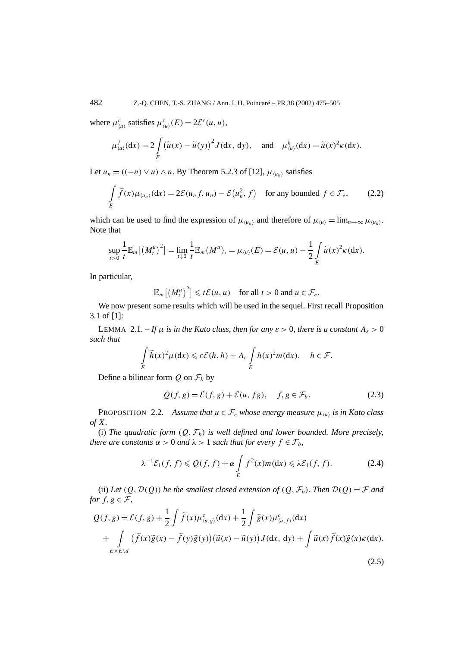where  $\mu_{\langle u \rangle}^c$  satisfies  $\mu_{\langle u \rangle}^c(E) = 2\mathcal{E}^c(u, u)$ ,

$$
\mu_{\langle u \rangle}^j(\mathrm{d}x) = 2 \int\limits_E \left( \widetilde{u}(x) - \widetilde{u}(y) \right)^2 J(\mathrm{d}x, \mathrm{d}y), \quad \text{and} \quad \mu_{\langle u \rangle}^k(\mathrm{d}x) = \widetilde{u}(x)^2 \kappa(\mathrm{d}x).
$$

Let *u<sub>n</sub>* =  $((-n) ∨ u) ∧ n$ . By Theorem 5.2.3 of [12],  $\mu_{\langle u_n \rangle}$  satisfies

$$
\int\limits_E \widetilde{f}(x)\mu_{\langle u_n\rangle}(dx) = 2\mathcal{E}(u_n f, u_n) - \mathcal{E}(u_n^2, f) \quad \text{for any bounded } f \in \mathcal{F}_e,
$$
 (2.2)

which can be used to find the expression of  $\mu_{\langle u_n \rangle}$  and therefore of  $\mu_{\langle u \rangle} = \lim_{n \to \infty} \mu_{\langle u_n \rangle}$ . Note that

$$
\sup_{t>0}\frac{1}{t}\mathbb{E}_m[(M_t^u)^2]=\lim_{t\downarrow0}\frac{1}{t}\mathbb{E}_m\langle M^u\rangle_t=\mu_{\langle u\rangle}(E)=\mathcal{E}(u,u)-\frac{1}{2}\int\limits_E\widetilde{u}(x)^2\kappa(\mathrm{d} x).
$$

In particular,

 $\mathbb{E}_{m}[(M_t^u)^2] \leq t\mathcal{E}(u, u)$  for all  $t > 0$  and  $u \in \mathcal{F}_e$ .

We now present some results which will be used in the sequel. First recall Proposition 3.1 of [1]:

LEMMA 2.1. – If  $\mu$  *is in the Kato class, then for any*  $\varepsilon > 0$ *, there is a constant*  $A_{\varepsilon} > 0$ *such that*

$$
\int\limits_E \widetilde{h}(x)^2 \mu(dx) \leqslant \varepsilon \mathcal{E}(h, h) + A_\varepsilon \int\limits_E h(x)^2 m(dx), \quad h \in \mathcal{F}.
$$

Define a bilinear form  $Q$  on  $\mathcal{F}_b$  by

$$
Q(f, g) = \mathcal{E}(f, g) + \mathcal{E}(u, fg), \quad f, g \in \mathcal{F}_b.
$$
 (2.3)

PROPOSITION 2.2. – *Assume that*  $u \in \mathcal{F}_e$  *whose energy measure*  $\mu_{\langle u \rangle}$  *is in Kato class of X.*

(i) The quadratic form  $(Q, \mathcal{F}_b)$  is well defined and lower bounded. More precisely, *there are constants*  $\alpha > 0$  *and*  $\lambda > 1$  *such that for every*  $f \in \mathcal{F}_b$ *,* 

$$
\lambda^{-1}\mathcal{E}_1(f,f) \leqslant \mathcal{Q}(f,f) + \alpha \int\limits_E f^2(x)m(\mathrm{d}x) \leqslant \lambda \mathcal{E}_1(f,f). \tag{2.4}
$$

(2.5)

(ii) Let  $(Q, \mathcal{D}(Q))$  be the smallest closed extension of  $(Q, \mathcal{F}_b)$ . Then  $\mathcal{D}(Q) = \mathcal{F}$  and *for*  $f, g \in \mathcal{F}$ ,

$$
Q(f,g) = \mathcal{E}(f,g) + \frac{1}{2} \int \widetilde{f}(x) \mu_{\langle u,g \rangle}^c(\mathrm{d}x) + \frac{1}{2} \int \widetilde{g}(x) \mu_{\langle u,f \rangle}^c(\mathrm{d}x) + \int \limits_{E \times E \backslash d} (\widetilde{f}(x) \widetilde{g}(x) - \widetilde{f}(y) \widetilde{g}(y)) (\widetilde{u}(x) - \widetilde{u}(y)) J(\mathrm{d}x, \mathrm{d}y) + \int \widetilde{u}(x) \widetilde{f}(x) \widetilde{g}(x) \kappa(\mathrm{d}x).
$$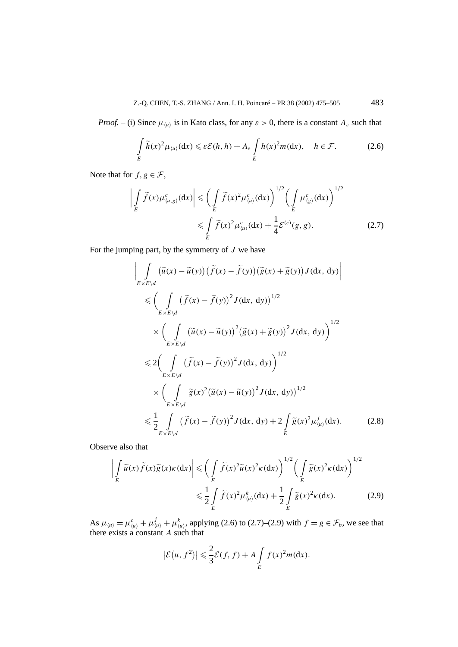*Proof.* – (i) Since  $\mu_{\langle u \rangle}$  is in Kato class, for any  $\varepsilon > 0$ , there is a constant  $A_{\varepsilon}$  such that

$$
\int_{E} \widetilde{h}(x)^{2} \mu_{\langle u \rangle}(\mathrm{d}x) \leqslant \varepsilon \mathcal{E}(h, h) + A_{\varepsilon} \int_{E} h(x)^{2} m(\mathrm{d}x), \quad h \in \mathcal{F}.
$$
 (2.6)

Note that for  $f, g \in \mathcal{F}$ ,

$$
\left| \int\limits_E \widetilde{f}(x) \mu_{\langle u,g \rangle}^c(\mathrm{d}x) \right| \leqslant \left( \int\limits_E \widetilde{f}(x)^2 \mu_{\langle u \rangle}^c(\mathrm{d}x) \right)^{1/2} \left( \int\limits_E \mu_{\langle g \rangle}^c(\mathrm{d}x) \right)^{1/2}
$$
  

$$
\leqslant \int\limits_E \widetilde{f}(x)^2 \mu_{\langle u \rangle}^c(\mathrm{d}x) + \frac{1}{4} \mathcal{E}^{(c)}(g,g). \tag{2.7}
$$

For the jumping part, by the symmetry of *J* we have

$$
\left| \int_{E \times E \backslash d} (\tilde{u}(x) - \tilde{u}(y)) (\tilde{f}(x) - \tilde{f}(y)) (\tilde{g}(x) + \tilde{g}(y)) J(dx, dy) \right|
$$
  
\n
$$
\leq \left( \int_{E \times E \backslash d} (\tilde{f}(x) - \tilde{f}(y))^2 J(dx, dy) \right)^{1/2}
$$
  
\n
$$
\times \left( \int_{E \times E \backslash d} (\tilde{u}(x) - \tilde{u}(y))^2 (\tilde{g}(x) + \tilde{g}(y))^2 J(dx, dy) \right)^{1/2}
$$
  
\n
$$
\leq 2 \left( \int_{E \times E \backslash d} (\tilde{f}(x) - \tilde{f}(y))^2 J(dx, dy) \right)^{1/2}
$$
  
\n
$$
\times \left( \int_{E \times E \backslash d} \tilde{g}(x)^2 (\tilde{u}(x) - \tilde{u}(y))^2 J(dx, dy) \right)^{1/2}
$$
  
\n
$$
\leq \frac{1}{2} \int_{E \times E \backslash d} (\tilde{f}(x) - \tilde{f}(y))^2 J(dx, dy) + 2 \int_{E} \tilde{g}(x)^2 \mu_{\langle u \rangle}^j (dx). \tag{2.8}
$$

Observe also that

$$
\left| \int_{E} \widetilde{u}(x) \widetilde{f}(x) \widetilde{g}(x) \kappa(dx) \right| \leqslant \left( \int_{E} \widetilde{f}(x)^{2} \widetilde{u}(x)^{2} \kappa(dx) \right)^{1/2} \left( \int_{E} \widetilde{g}(x)^{2} \kappa(dx) \right)^{1/2}
$$
  

$$
\leqslant \frac{1}{2} \int_{E} \widetilde{f}(x)^{2} \mu_{\langle u \rangle}^{k}(dx) + \frac{1}{2} \int_{E} \widetilde{g}(x)^{2} \kappa(dx). \tag{2.9}
$$

As  $\mu_{\langle u \rangle} = \mu_{\langle u \rangle}^c + \mu_{\langle u \rangle}^j + \mu_{\langle u \rangle}^k$ , applying (2.6) to (2.7)–(2.9) with  $f = g \in \mathcal{F}_b$ , we see that there exists a constant *A* such that

$$
|\mathcal{E}(u, f^2)| \leq \frac{2}{3}\mathcal{E}(f, f) + A \int\limits_{E} f(x)^2 m(\mathrm{d}x).
$$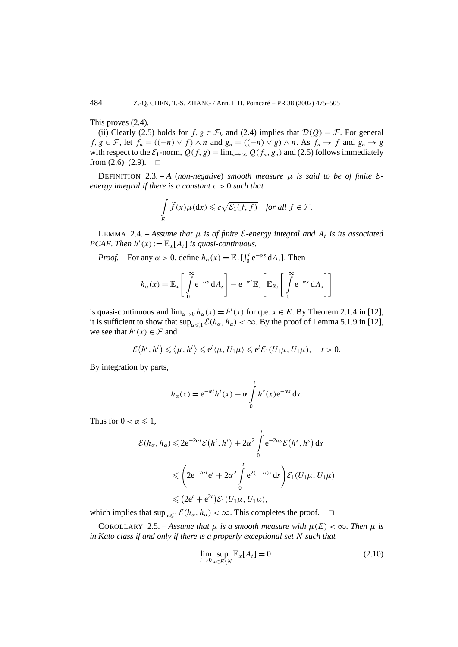This proves (2.4).

(ii) Clearly (2.5) holds for  $f, g \in \mathcal{F}_b$  and (2.4) implies that  $\mathcal{D}(Q) = \mathcal{F}$ . For general *f*, *g* ∈ *F*, let  $f_n$  =  $((-n) \vee f) \wedge n$  and  $g_n$  =  $((-n) \vee g) \wedge n$ . As  $f_n \rightarrow f$  and  $g_n \rightarrow g$ with respect to the  $\mathcal{E}_1$ -norm,  $Q(f, g) = \lim_{n \to \infty} Q(f_n, g_n)$  and (2.5) follows immediately from (2.6)–(2.9). from  $(2.6)$ – $(2.9)$ .

DEFINITION 2.3.  $-A$  (non-negative) *smooth measure*  $\mu$  *is said to be of finite*  $\mathcal{E}$ *energy integral if there is a constant c >* 0 *such that*

$$
\int\limits_E \widetilde{f}(x)\mu(\mathrm{d}x) \leqslant c\sqrt{\mathcal{E}_1(f,f)} \quad \text{for all } f \in \mathcal{F}.
$$

LEMMA 2.4. – Assume that  $\mu$  is of finite *E*-energy integral and  $A_t$  is its associated *PCAF. Then*  $h^t(x) := \mathbb{E}_x[A_t]$  *is quasi-continuous.* 

*Proof.* – For any  $\alpha > 0$ , define  $h_{\alpha}(x) = \mathbb{E}_x \left[ \int_0^t e^{-\alpha s} dA_s \right]$ . Then

$$
h_{\alpha}(x) = \mathbb{E}_{x} \left[ \int_{0}^{\infty} e^{-\alpha s} dA_{s} \right] - e^{-\alpha t} \mathbb{E}_{x} \left[ \mathbb{E}_{X_{t}} \left[ \int_{0}^{\infty} e^{-\alpha s} dA_{s} \right] \right]
$$

is quasi-continuous and  $\lim_{\alpha \to 0} h_{\alpha}(x) = h^t(x)$  for q.e.  $x \in E$ . By Theorem 2.1.4 in [12], it is sufficient to show that  $\sup_{\alpha \leq 1} E(h_{\alpha}, h_{\alpha}) < \infty$ . By the proof of Lemma 5.1.9 in [12], we see that  $h^t(x) \in \mathcal{F}$  and

$$
\mathcal{E}(h^t,h^t) \leq \langle \mu,h^t \rangle \leq e^t \langle \mu,U_1\mu \rangle \leq e^t \mathcal{E}_1(U_1\mu,U_1\mu), \quad t>0.
$$

By integration by parts,

$$
h_{\alpha}(x) = e^{-\alpha t} h^{t}(x) - \alpha \int_{0}^{t} h^{s}(x) e^{-\alpha s} ds.
$$

Thus for  $0 < \alpha \leq 1$ ,

$$
\mathcal{E}(h_{\alpha}, h_{\alpha}) \leq 2e^{-2\alpha t} \mathcal{E}(h^{t}, h^{t}) + 2\alpha^{2} \int_{0}^{t} e^{-2\alpha s} \mathcal{E}(h^{s}, h^{s}) ds
$$
  

$$
\leq \left(2e^{-2\alpha t}e^{t} + 2\alpha^{2} \int_{0}^{t} e^{2(1-\alpha)s} ds\right) \mathcal{E}_{1}(U_{1}\mu, U_{1}\mu)
$$
  

$$
\leq (2e^{t} + e^{2t}) \mathcal{E}_{1}(U_{1}\mu, U_{1}\mu),
$$

which implies that  $\sup_{\alpha \leq 1} \mathcal{E}(h_{\alpha}, h_{\alpha}) < \infty$ . This completes the proof.  $\square$ 

COROLLARY 2.5. – Assume that  $\mu$  is a smooth measure with  $\mu(E) < \infty$ . Then  $\mu$  is *in Kato class if and only if there is a properly exceptional set N such that*

$$
\lim_{t \to 0} \sup_{x \in E \backslash N} \mathbb{E}_x[A_t] = 0. \tag{2.10}
$$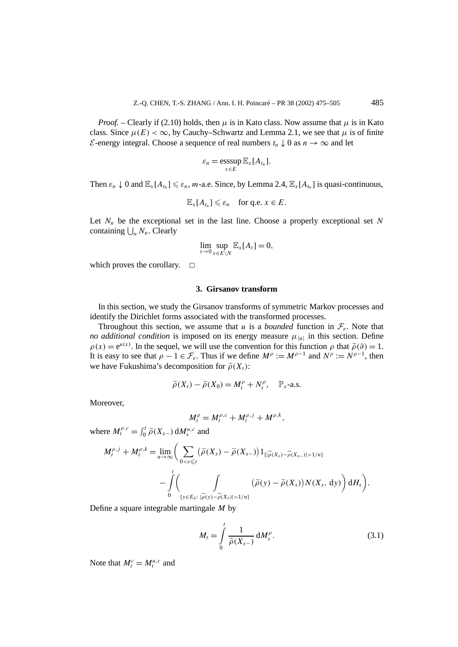*Proof.* – Clearly if (2.10) holds, then  $\mu$  is in Kato class. Now assume that  $\mu$  is in Kato class. Since  $\mu(E) < \infty$ , by Cauchy–Schwartz and Lemma 2.1, we see that  $\mu$  is of finite E-energy integral. Choose a sequence of real numbers  $t_n \downarrow 0$  as  $n \rightarrow \infty$  and let

$$
\varepsilon_n = \operatorname*{esssup}_{x \in E} \mathbb{E}_x[A_{t_n}].
$$

Then  $\varepsilon_n \downarrow 0$  and  $\mathbb{E}_x[A_{t_n}] \leq \varepsilon_n$ , *m*-a.e. Since, by Lemma 2.4,  $\mathbb{E}_x[A_{t_n}]$  is quasi-continuous,

$$
\mathbb{E}_x[A_{t_n}] \leq \varepsilon_n \quad \text{for q.e. } x \in E.
$$

Let  $N_n$  be the exceptional set in the last line. Choose a properly exceptional set  $N$ containing  $\bigcup_n N_n$ . Clearly

$$
\lim_{t \to 0} \sup_{x \in E \setminus N} \mathbb{E}_x[A_t] = 0,
$$

which proves the corollary.  $\square$ 

## **3. Girsanov transform**

In this section, we study the Girsanov transforms of symmetric Markov processes and identify the Dirichlet forms associated with the transformed processes.

Throughout this section, we assume that *u* is a *bounded* function in  $\mathcal{F}_e$ . Note that *no additional condition* is imposed on its energy measure  $\mu_{\langle u \rangle}$  in this section. Define  $\rho(x) = e^{u(x)}$ . In the sequel, we will use the convention for this function  $\rho$  that  $\tilde{\rho}(\partial) = 1$ . It is easy to see that  $\rho - 1 \in \mathcal{F}_e$ . Thus if we define  $M^{\rho} := M^{\rho-1}$  and  $N^{\rho} := N^{\rho-1}$ , then we have Fukushima's decomposition for  $\tilde{\rho}(X_t)$ :

$$
\widetilde{\rho}(X_t) - \widetilde{\rho}(X_0) = M_t^{\rho} + N_t^{\rho}, \quad \mathbb{P}_x\text{-a.s.}
$$

Moreover,

$$
M_t^{\rho} = M_t^{\rho,c} + M_t^{\rho,j} + M^{\rho,k},
$$

where  $M_t^{\rho,c} = \int_0^t \tilde{\rho}(X_{s-}) dM_s^{u,c}$  and

$$
M_t^{\rho,j} + M_t^{\rho,k} = \lim_{n \to \infty} \Biggl( \sum_{0 < s \leq t} \bigl( \widetilde{\rho}(X_s) - \widetilde{\rho}(X_{s-}) \bigr) 1_{\{|\widetilde{\rho}(X_s) - \widetilde{\rho}(X_{s-})| > 1/n\}} \Biggr) - \int\limits_0^t \Biggl( \int\limits_{\{y \in E_\vartheta: \ |\widetilde{\rho}(y) - \widetilde{\rho}(X_s)| > 1/n\}} \bigl( \widetilde{\rho}(y) - \widetilde{\rho}(X_s) \bigr) N(X_s, \, \mathrm{d}y) \Biggr) \, \mathrm{d}H_s \Biggr).
$$

Define a square integrable martingale *M* by

$$
M_t = \int\limits_0^t \frac{1}{\widetilde{\rho}(X_{s-})} \, \mathrm{d}M_s^{\rho}.\tag{3.1}
$$

Note that  $M_t^c = M_t^{u,c}$  and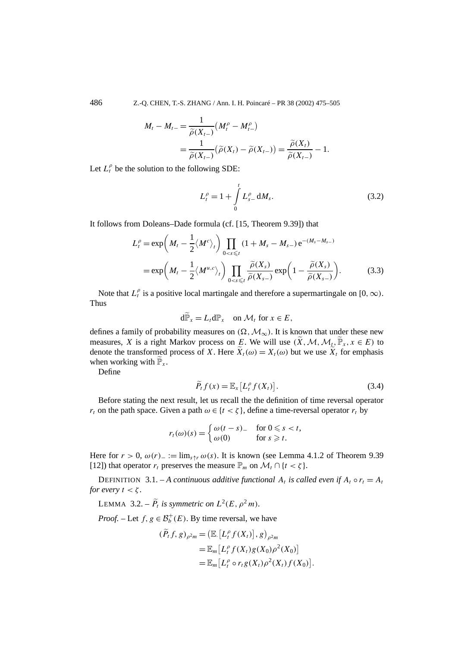486 Z.-Q. CHEN, T.-S. ZHANG / Ann. I. H. Poincaré – PR 38 (2002) 475–505

$$
M_t - M_{t-} = \frac{1}{\widetilde{\rho}(X_{t-})} (M_t^{\rho} - M_{t-}^{\rho})
$$
  
= 
$$
\frac{1}{\widetilde{\rho}(X_{t-})} (\widetilde{\rho}(X_t) - \widetilde{\rho}(X_{t-})) = \frac{\widetilde{\rho}(X_t)}{\widetilde{\rho}(X_{t-})} - 1.
$$

Let  $L_t^{\rho}$  be the solution to the following SDE:

$$
L_t^{\rho} = 1 + \int_0^t L_{s-}^{\rho} dM_s.
$$
 (3.2)

It follows from Doleans–Dade formula (cf. [15, Theorem 9.39]) that

$$
L_t^{\rho} = \exp\left(M_t - \frac{1}{2} \langle M^c \rangle_t \right) \prod_{0 < s \leq t} (1 + M_s - M_{s-}) e^{-(M_s - M_{s-})}
$$
\n
$$
= \exp\left(M_t - \frac{1}{2} \langle M^{u,c} \rangle_t \right) \prod_{0 < s \leq t} \frac{\tilde{\rho}(X_s)}{\tilde{\rho}(X_{s-})} \exp\left(1 - \frac{\tilde{\rho}(X_s)}{\tilde{\rho}(X_{s-})} \right). \tag{3.3}
$$

Note that  $L_t^{\rho}$  is a positive local martingale and therefore a supermartingale on [0,  $\infty$ ). Thus

$$
d\widetilde{\mathbb{P}}_x = L_t d\mathbb{P}_x \quad \text{on } \mathcal{M}_t \text{ for } x \in E,
$$

defines a family of probability measures on  $(\Omega, \mathcal{M}_{\infty})$ . It is known that under these new measures, *X* is a right Markov process on *E*. We will use  $(\widetilde{X}, \mathcal{M}, \mathcal{M}_t, \widetilde{\mathbb{P}}_x, x \in E)$  to denote the transformed process of *X*. Here  $\widetilde{X}_t(\omega) = X_t(\omega)$  but we use  $\widetilde{X}_t$  for emphasis when working with  $\widetilde{\mathbb{P}}_x$ .

Define

$$
\widetilde{P}_t f(x) = \mathbb{E}_x [L_t^{\rho} f(X_t)]. \tag{3.4}
$$

Before stating the next result, let us recall the the definition of time reversal operator *r<sub>t</sub>* on the path space. Given a path  $\omega \in \{t < \zeta\}$ , define a time-reversal operator  $r_t$  by

$$
r_t(\omega)(s) = \begin{cases} \omega(t-s) & \text{for } 0 \le s < t, \\ \omega(0) & \text{for } s \ge t. \end{cases}
$$

Here for  $r > 0$ ,  $\omega(r)$ <sub>−</sub> := lim<sub>s↑r</sub>  $\omega(s)$ . It is known (see Lemma 4.1.2 of Theorem 9.39 [12]) that operator  $r_t$  preserves the measure  $\mathbb{P}_m$  on  $\mathcal{M}_t \cap \{t < \zeta\}$ .

DEFINITION 3.1. – *A continuous additive functional*  $A_t$  *is called even if*  $A_t \circ r_t = A_t$ *for every*  $t < \zeta$ *.* 

LEMMA 3.2. –  $\widetilde{P}_t$  *is symmetric on*  $L^2(E, \rho^2 m)$ *.* 

*Proof.* – Let  $f, g \in \mathcal{B}_b^+(E)$ . By time reversal, we have

$$
(\widetilde{P}_t f, g)_{\rho^2 m} = (\mathbb{E} [L_t^{\rho} f(X_t)], g)_{\rho^2 m}
$$
  
= 
$$
\mathbb{E}_m [L_t^{\rho} f(X_t) g(X_0) \rho^2(X_0)]
$$
  
= 
$$
\mathbb{E}_m [L_t^{\rho} \circ r_t g(X_t) \rho^2(X_t) f(X_0)].
$$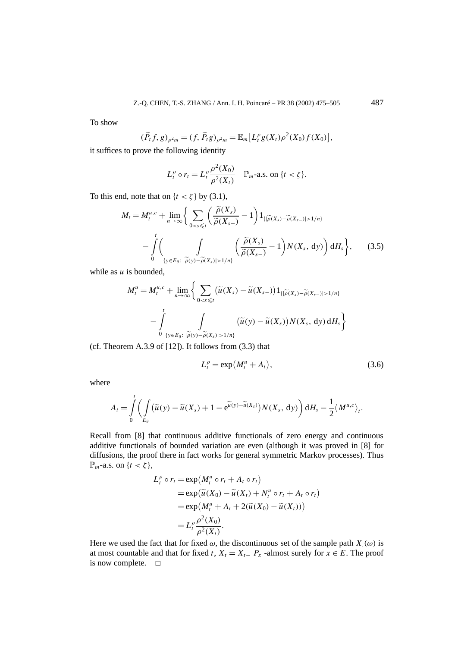To show

$$
(\widetilde{P}_t f, g)_{\rho^2 m} = (f, \widetilde{P}_t g)_{\rho^2 m} = \mathbb{E}_m [L_t^{\rho} g(X_t) \rho^2(X_0) f(X_0)],
$$

it suffices to prove the following identity

$$
L_t^{\rho} \circ r_t = L_t^{\rho} \frac{\rho^2(X_0)}{\rho^2(X_t)} \quad \mathbb{P}_{m} \text{-a.s. on } \{t < \zeta\}.
$$

To this end, note that on  $\{t < \zeta\}$  by (3.1),

$$
M_{t} = M_{t}^{u,c} + \lim_{n \to \infty} \Biggl\{ \sum_{0 < s \leq t} \Biggl( \frac{\widetilde{\rho}(X_{s})}{\widetilde{\rho}(X_{s-})} - 1 \Biggr) \mathbb{1}_{\{|\widetilde{\rho}(X_{s}) - \widetilde{\rho}(X_{s-})| > 1/n\}} - \int_{0}^{t} \Biggl( \int_{\{y \in E_{\vartheta}: \ |\widetilde{\rho}(y) - \widetilde{\rho}(X_{s})| > 1/n\}} \Biggl( \frac{\widetilde{\rho}(X_{s})}{\widetilde{\rho}(X_{s-})} - 1 \Biggr) N(X_{s}, \mathrm{d}y) \Biggr) \mathrm{d}H_{s} \Biggr\},\qquad(3.5)
$$

while as *u* is bounded,

$$
M_t^u = M_t^{u,c} + \lim_{n \to \infty} \left\{ \sum_{0 < s \le t} (\widetilde{u}(X_s) - \widetilde{u}(X_{s-})) 1_{\{|\widetilde{\rho}(X_s) - \widetilde{\rho}(X_{s-})| > 1/n\}} \right.-\int_{0}^t \int_{\{y \in E_\vartheta : |\widetilde{\rho}(y) - \widetilde{\rho}(X_s)| > 1/n\}} (\widetilde{u}(y) - \widetilde{u}(X_s)) N(X_s, dy) \, dH_s \right\}
$$

(cf. Theorem A.3.9 of  $[12]$ ). It follows from  $(3.3)$  that

$$
L_t^{\rho} = \exp\left(M_t^u + A_t\right),\tag{3.6}
$$

where

$$
A_t = \int\limits_0^t \left( \int\limits_{E_\partial} \left( \widetilde{u}(y) - \widetilde{u}(X_s) + 1 - e^{\widetilde{u}(y) - \widetilde{u}(X_s)} \right) N(X_s, dy) \right) dH_s - \frac{1}{2} \langle M^{u,c} \rangle_t.
$$

Recall from [8] that continuous additive functionals of zero energy and continuous additive functionals of bounded variation are even (although it was proved in [8] for diffusions, the proof there in fact works for general symmetric Markov processes). Thus  $\mathbb{P}_m$ -a.s. on  $\{t < \zeta\},\$ 

$$
L_t^{\rho} \circ r_t = \exp(M_t^u \circ r_t + A_t \circ r_t)
$$
  
= 
$$
\exp(\widetilde{u}(X_0) - \widetilde{u}(X_t) + N_t^u \circ r_t + A_t \circ r_t)
$$
  
= 
$$
\exp(M_t^u + A_t + 2(\widetilde{u}(X_0) - \widetilde{u}(X_t)))
$$
  
= 
$$
L_t^{\rho} \frac{\rho^2(X_0)}{\rho^2(X_t)}.
$$

Here we used the fact that for fixed  $\omega$ , the discontinuous set of the sample path *X*<sub>.</sub>( $\omega$ ) is at most countable and that for fixed *t*,  $X_t = X_{t-} P_x$  -almost surely for  $x \in E$ . The proof is now complete.  $\Box$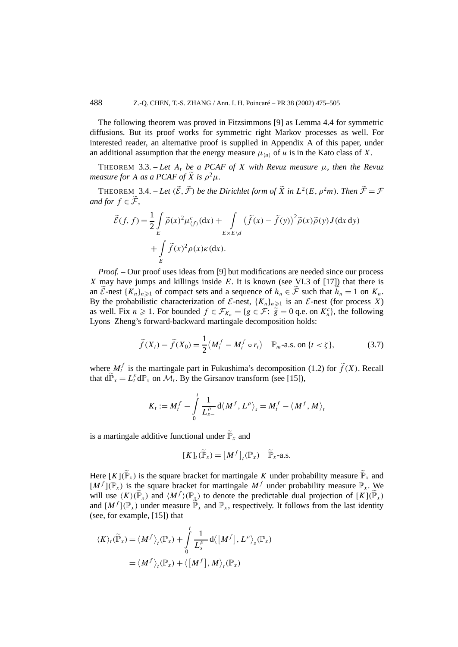The following theorem was proved in Fitzsimmons [9] as Lemma 4.4 for symmetric diffusions. But its proof works for symmetric right Markov processes as well. For interested reader, an alternative proof is supplied in Appendix A of this paper, under an additional assumption that the energy measure  $\mu_{\langle u \rangle}$  of *u* is in the Kato class of *X*.

THEOREM 3.3. – Let  $A_t$  be a PCAF of X with Revuz measure  $\mu$ , then the Revuz *measure for A as a PCAF of*  $\widetilde{X}$  *is*  $\rho^2 \mu$ *.* 

THEOREM 3.4. – *Let*  $(\widetilde{\mathcal{E}}, \widetilde{\mathcal{F}})$  *be the Dirichlet form of*  $\widetilde{X}$  *in*  $L^2(E, \rho^2 m)$ *. Then*  $\widetilde{\mathcal{F}} = \mathcal{F}$ *and for*  $f \in \widetilde{\mathcal{F}}$ ,

$$
\widetilde{\mathcal{E}}(f, f) = \frac{1}{2} \int_{E} \widetilde{\rho}(x)^2 \mu_{(f)}^c(dx) + \int_{E \times E \backslash d} \left( \widetilde{f}(x) - \widetilde{f}(y) \right)^2 \widetilde{\rho}(x) \widetilde{\rho}(y) J(dx dy) \n+ \int_{E} \widetilde{f}(x)^2 \rho(x) \kappa(dx).
$$

*Proof.* – Our proof uses ideas from [9] but modifications are needed since our process *X* may have jumps and killings inside *E*. It is known (see VI.3 of [17]) that there is an  $\widetilde{\mathcal{E}}$ -nest  $\{K_n\}_{n\geq 1}$  of compact sets and a sequence of  $h_n \in \widetilde{\mathcal{F}}$  such that  $\widetilde{h}_n = 1$  on  $K_n$ . By the probabilistic characterization of  $\mathcal{E}$ -nest,  $\{K_n\}_{n\geq 1}$  is an  $\mathcal{E}$ -nest (for process *X*) as well. Fix  $n \ge 1$ . For bounded  $f \in \mathcal{F}_{K_n} = \{g \in \mathcal{F} : \tilde{g} = 0 \text{ q.e. on } K_n^c\}$ , the following Lyons–Zheng's forward-backward martingale decomposition holds:

$$
\widetilde{f}(X_t) - \widetilde{f}(X_0) = \frac{1}{2} \left( M_t^f - M_t^f \circ r_t \right) \quad \mathbb{P}_{m} \text{-a.s. on } \{ t < \zeta \},\tag{3.7}
$$

where  $M_t^f$  is the martingale part in Fukushima's decomposition (1.2) for  $\tilde{f}(X)$ . Recall that  $d\widetilde{P}_x = L_t^{\rho} dP_x$  on  $\mathcal{M}_t$ . By the Girsanov transform (see [15]),

$$
K_t := M_t^f - \int\limits_0^t \frac{1}{L_{s-}^\rho} \, \mathrm{d} \langle M^f, L^\rho \rangle_s = M_t^f - \langle M^f, M \rangle_t
$$

is a martingale additive functional under  $\widetilde{\mathbb{P}}_x$  and

$$
[K]_t(\widetilde{\mathbb{P}}_x) = [M^f]_t(\mathbb{P}_x) \quad \widetilde{\mathbb{P}}_x\text{-a.s.}
$$

Here  $[K](\widetilde{\mathbb{P}}_x)$  is the square bracket for martingale *K* under probability measure  $\widetilde{\mathbb{P}}_x$  and  $[M<sup>f</sup>](\mathbb{P}_x)$  is the square bracket for martingale  $M<sup>f</sup>$  under probability measure  $\mathbb{P}_x$ . We will use  $\langle K \rangle(\widetilde{\mathbb{P}}_x)$  and  $\langle M^f \rangle(\mathbb{P}_x)$  to denote the predictable dual projection of  $[K](\widetilde{\mathbb{P}}_x)$ and  $[M^f](\mathbb{P}_x)$  under measure  $\widetilde{\mathbb{P}}_x$  and  $\mathbb{P}_x$ , respectively. It follows from the last identity (see, for example, [15]) that

$$
\langle K \rangle_t(\widetilde{\mathbb{P}}_x) = \langle M^f \rangle_t(\mathbb{P}_x) + \int_0^t \frac{1}{L_{s-}^\rho} d \langle [M^f], L^\rho \rangle_s(\mathbb{P}_x)
$$
  
=  $\langle M^f \rangle_t(\mathbb{P}_x) + \langle [M^f], M \rangle_t(\mathbb{P}_x)$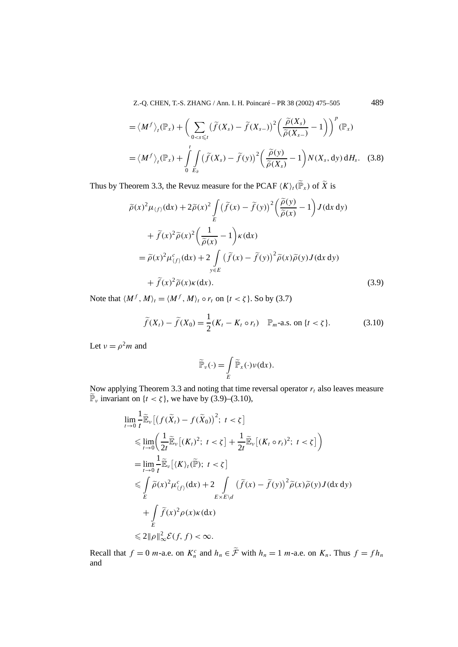Z.-Q. CHEN, T.-S. ZHANG / Ann. I. H. Poincaré – PR 38 (2002) 475–505 489

$$
= \langle M^f \rangle_t(\mathbb{P}_x) + \Big( \sum_{0 < s \leq t} (\widetilde{f}(X_s) - \widetilde{f}(X_{s-}))^2 \Big( \frac{\widetilde{\rho}(X_s)}{\widetilde{\rho}(X_{s-})} - 1 \Big) \Big)^p (\mathbb{P}_x)
$$
  
=  $\langle M^f \rangle_t(\mathbb{P}_x) + \int_0^t \int_{\mathbb{E}_{\partial}} (\widetilde{f}(X_s) - \widetilde{f}(y))^2 \Big( \frac{\widetilde{\rho}(y)}{\widetilde{\rho}(X_s)} - 1 \Big) N(X_s, dy) dH_s.$  (3.8)

Thus by Theorem 3.3, the Revuz measure for the PCAF  $\langle K \rangle_i(\widetilde{\mathbb{P}}_x)$  of  $\widetilde{X}$  is

$$
\tilde{\rho}(x)^{2} \mu_{(f)}(\mathrm{d}x) + 2\tilde{\rho}(x)^{2} \int_{E} (\tilde{f}(x) - \tilde{f}(y))^{2} \left(\frac{\tilde{\rho}(y)}{\tilde{\rho}(x)} - 1\right) J(\mathrm{d}x \, \mathrm{d}y)
$$

$$
+ \tilde{f}(x)^{2} \tilde{\rho}(x)^{2} \left(\frac{1}{\tilde{\rho}(x)} - 1\right) \kappa(\mathrm{d}x)
$$

$$
= \tilde{\rho}(x)^{2} \mu_{(f)}^{c}(\mathrm{d}x) + 2 \int_{y \in E} (\tilde{f}(x) - \tilde{f}(y))^{2} \tilde{\rho}(x) \tilde{\rho}(y) J(\mathrm{d}x \, \mathrm{d}y)
$$

$$
+ \tilde{f}(x)^{2} \tilde{\rho}(x) \kappa(\mathrm{d}x). \tag{3.9}
$$

Note that  $\langle M^f, M \rangle_t = \langle M^f, M \rangle_t \circ r_t$  on  $\{t < \zeta\}$ . So by (3.7)

$$
\widetilde{f}(X_t) - \widetilde{f}(X_0) = \frac{1}{2}(K_t - K_t \circ r_t) \quad \mathbb{P}_m\text{-a.s. on }\{t < \zeta\}. \tag{3.10}
$$

Let  $v = \rho^2 m$  and

$$
\widetilde{\mathbb{P}}_{\nu}(\cdot) = \int\limits_{E} \widetilde{\mathbb{P}}_{x}(\cdot) \nu(\mathrm{d} x).
$$

Now applying Theorem 3.3 and noting that time reversal operator  $r_t$  also leaves measure  $\widetilde{\mathbb{P}}_{\nu}$  invariant on  $\{t < \zeta\}$ , we have by (3.9)–(3.10),

$$
\lim_{t \to 0} \frac{1}{t} \widetilde{\mathbb{E}}_{\nu} \left[ \left( f(\widetilde{X}_{t}) - f(\widetilde{X}_{0}) \right)^{2}; t < \zeta \right]
$$
\n
$$
\leq \lim_{t \to 0} \left( \frac{1}{2t} \widetilde{\mathbb{E}}_{\nu} \left[ (K_{t})^{2}; t < \zeta \right] + \frac{1}{2t} \widetilde{\mathbb{E}}_{\nu} \left[ (K_{t} \circ r_{t})^{2}; t < \zeta \right] \right)
$$
\n
$$
= \lim_{t \to 0} \frac{1}{t} \widetilde{\mathbb{E}}_{\nu} \left[ \langle K \rangle_{t}(\widetilde{\mathbb{P}}); t < \zeta \right]
$$
\n
$$
\leq \int_{E} \widetilde{\rho}(x)^{2} \mu_{\langle f \rangle}^{c}(dx) + 2 \int_{E \times E \setminus d} \left( \widetilde{f}(x) - \widetilde{f}(y) \right)^{2} \widetilde{\rho}(x) \widetilde{\rho}(y) J(dx dy)
$$
\n
$$
+ \int_{E} \widetilde{f}(x)^{2} \rho(x) \kappa(dx)
$$
\n
$$
\leq 2 \|\rho\|_{\infty}^{2} \mathcal{E}(f, f) < \infty.
$$

Recall that  $f = 0$  *m*-a.e. on  $K_n^c$  and  $h_n \in \tilde{\mathcal{F}}$  with  $h_n = 1$  *m*-a.e. on  $K_n$ . Thus  $f = f h_n$ and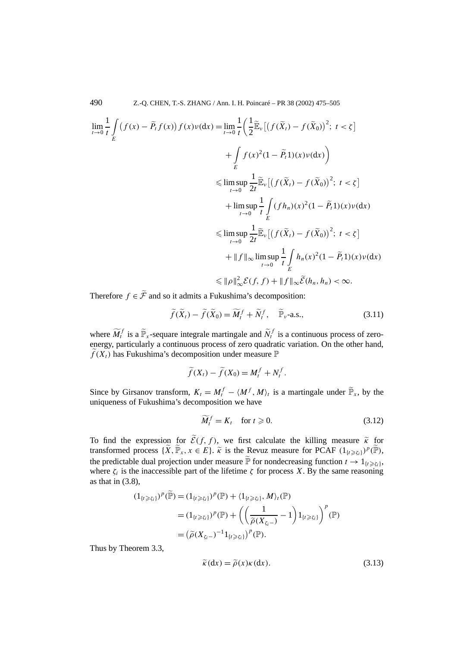$$
\lim_{t \to 0} \frac{1}{t} \int_{E} (f(x) - \tilde{P}_t f(x)) f(x) \nu(dx) = \lim_{t \to 0} \frac{1}{t} \left( \frac{1}{2} \tilde{\mathbb{E}}_{\nu} \left[ \left( f(\tilde{X}_t) - f(\tilde{X}_0) \right)^2; \ t < \zeta \right] \right)
$$
\n
$$
+ \int_{E} f(x)^2 (1 - \tilde{P}_t 1)(x) \nu(dx) \Big)
$$
\n
$$
\leq \limsup_{t \to 0} \frac{1}{2t} \tilde{\mathbb{E}}_{\nu} \left[ \left( f(\tilde{X}_t) - f(\tilde{X}_0) \right)^2; \ t < \zeta \right]
$$
\n
$$
+ \limsup_{t \to 0} \frac{1}{t} \int_{E} (f h_n)(x)^2 (1 - \tilde{P}_t 1)(x) \nu(dx)
$$
\n
$$
\leq \limsup_{t \to 0} \frac{1}{2t} \tilde{\mathbb{E}}_{\nu} \left[ \left( f(\tilde{X}_t) - f(\tilde{X}_0) \right)^2; \ t < \zeta \right]
$$
\n
$$
+ \|f\|_{\infty} \limsup_{t \to 0} \frac{1}{t} \int_{E} h_n(x)^2 (1 - \tilde{P}_t 1)(x) \nu(dx)
$$
\n
$$
\leq \| \rho \|_{\infty}^2 \mathcal{E}(f, f) + \|f\|_{\infty} \tilde{\mathcal{E}}(h_n, h_n) < \infty.
$$

Therefore  $f \in \tilde{\mathcal{F}}$  and so it admits a Fukushima's decomposition:

$$
\widetilde{f}(\widetilde{X}_t) - \widetilde{f}(\widetilde{X}_0) = \widetilde{M}_t^f + \widetilde{N}_t^f, \quad \widetilde{\mathbb{P}}_{\nu} \text{-a.s.},
$$
\n(3.11)

where  $\widetilde{M}_t^f$  is a  $\widetilde{\mathbb{P}}_x$ -sequare integrale martingale and  $\widetilde{N}_t^f$  is a continuous process of zeroenergy, particularly a continuous process of zero quadratic variation. On the other hand,  $\tilde{f}(X_t)$  has Fukushima's decomposition under measure  $\mathbb P$ 

$$
\widetilde{f}(X_t) - \widetilde{f}(X_0) = M_t^f + N_t^f.
$$

Since by Girsanov transform,  $K_t = M_t^f - \langle M^f, M \rangle_t$  is a martingale under  $\widetilde{\mathbb{P}}_x$ , by the uniqueness of Fukushima's decomposition we have

$$
\widetilde{M}_t^f = K_t \quad \text{for } t \ge 0. \tag{3.12}
$$

To find the expression for  $\mathcal{E}(f, f)$ , we first calculate the killing measure  $\tilde{\kappa}$  for transformed process  $\{\widetilde{X}, \widetilde{\mathbb{P}}_x, x \in E\}$ .  $\widetilde{\kappa}$  is the Revuz measure for PCAF  $(1_{\{t \geqslant \xi_i\}})^p(\widetilde{\mathbb{P}})$ , the predictable dual projection under measure  $\tilde{P}$  for nondecreasing function  $t \to 1_{\{t \geq \zeta_t\}}$ , where  $\zeta_i$  is the inaccessible part of the lifetime  $\zeta$  for process *X*. By the same reasoning as that in  $(3.8)$ ,

$$
(1_{\{t\geqslant \zeta_i\}})^p(\widetilde{\mathbb{P}}) = (1_{\{t\geqslant \zeta_i\}})^p(\mathbb{P}) + \langle 1_{\{t\geqslant \zeta_i\}}, M \rangle_t(\mathbb{P})
$$
  

$$
= (1_{\{t\geqslant \zeta_i\}})^p(\mathbb{P}) + \left( \left( \frac{1}{\widetilde{\rho}(X_{\zeta_i-})} - 1 \right) 1_{\{t\geqslant \zeta_i\}} \right)^p(\mathbb{P})
$$
  

$$
= (\widetilde{\rho}(X_{\zeta_i-})^{-1} 1_{\{t\geqslant \zeta_i\}})^p(\mathbb{P}).
$$

Thus by Theorem 3.3,

$$
\widetilde{\kappa}(\mathrm{d}x) = \widetilde{\rho}(x)\kappa(\mathrm{d}x). \tag{3.13}
$$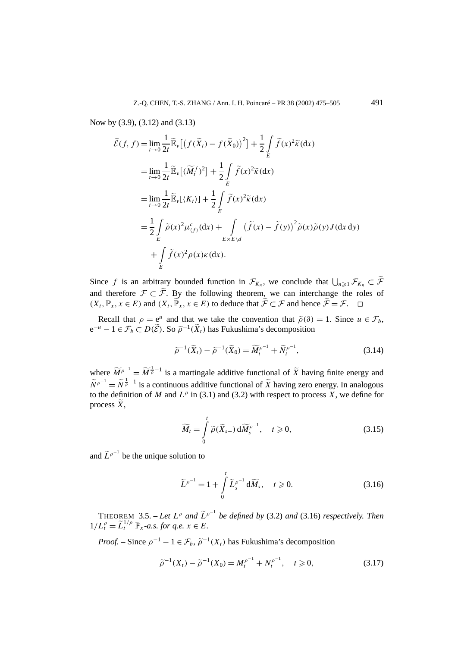Now by (3.9), (3.12) and (3.13)

$$
\tilde{\mathcal{E}}(f, f) = \lim_{t \to 0} \frac{1}{2t} \tilde{\mathbb{E}}_{\nu} \left[ \left( f(\tilde{X}_t) - f(\tilde{X}_0) \right)^2 \right] + \frac{1}{2} \int_{E} \tilde{f}(x)^2 \tilde{\kappa} \, dx
$$
\n
$$
= \lim_{t \to 0} \frac{1}{2t} \tilde{\mathbb{E}}_{\nu} \left[ (\widetilde{M}_t^f)^2 \right] + \frac{1}{2} \int_{E} \tilde{f}(x)^2 \tilde{\kappa} \, dx
$$
\n
$$
= \lim_{t \to 0} \frac{1}{2t} \tilde{\mathbb{E}}_{\nu} \left[ \langle K_t \rangle \right] + \frac{1}{2} \int_{E} \tilde{f}(x)^2 \tilde{\kappa} \, dx
$$
\n
$$
= \frac{1}{2} \int_{E} \tilde{\rho}(x)^2 \mu_{(f)}^c \, dx + \int_{E \times E \backslash d} \left( \tilde{f}(x) - \tilde{f}(y) \right)^2 \tilde{\rho}(x) \tilde{\rho}(y) J \, dx \, dy
$$
\n
$$
+ \int_{E} \tilde{f}(x)^2 \rho(x) \kappa \, dx.
$$

Since f is an arbitrary bounded function in  $\mathcal{F}_{K_n}$ , we conclude that  $\bigcup_{n\geq 1} \mathcal{F}_{K_n} \subset \tilde{\mathcal{F}}$ and therefore  $\mathcal{F} \subset \widetilde{\mathcal{F}}$ . By the following theorem, we can interchange the roles of  $(X_t, \mathbb{P}_x, x \in E)$  and  $(X_t, \widetilde{\mathbb{P}}_x, x \in E)$  to deduce that  $\widetilde{\mathcal{F}} \subset \mathcal{F}$  and hence  $\widetilde{\mathcal{F}} = \mathcal{F}$ .  $\Box$ 

Recall that  $\rho = e^u$  and that we take the convention that  $\tilde{\rho}(\partial) = 1$ . Since  $u \in \mathcal{F}_b$ ,  $e^{-u}$  − 1 ∈  $\mathcal{F}_b$  ⊂ *D*( $\tilde{\mathcal{E}}$ ). So  $\tilde{\rho}^{-1}(\tilde{X}_t)$  has Fukushima's decomposition

$$
\widetilde{\rho}^{-1}(\widetilde{X}_t) - \widetilde{\rho}^{-1}(\widetilde{X}_0) = \widetilde{M}_t^{\rho^{-1}} + \widetilde{N}_t^{\rho^{-1}},\tag{3.14}
$$

where  $\widetilde{M}^{\rho-1} = \widetilde{M}^{\frac{1}{\rho}-1}$  is a martingale additive functional of  $\widetilde{X}$  having finite energy and  $\widetilde{N}^{\rho^{-1}} = \widetilde{N}^{\frac{1}{\rho}-1}$  is a continuous additive functional of  $\widetilde{X}$  having zero energy. In analogous to the definition of *M* and  $L^{\rho}$  in (3.1) and (3.2) with respect to process *X*, we define for process *X*,

$$
\widetilde{M}_t = \int\limits_0^t \widetilde{\rho}(\widetilde{X}_{s-}) d\widetilde{M}_s^{\rho^{-1}}, \quad t \ge 0,
$$
\n(3.15)

and  $\tilde{L}^{\rho^{-1}}$  be the unique solution to

$$
\widetilde{L}^{\rho^{-1}} = 1 + \int\limits_0^t \widetilde{L}_{s-}^{\rho^{-1}} d\widetilde{M}_s, \quad t \geqslant 0.
$$
\n(3.16)

THEOREM 3.5. – Let  $L^{\rho}$  and  $\tilde{L}^{\rho-1}$  be defined by (3.2) and (3.16) respectively. Then  $1/L_t^{\rho} = \tilde{L}_t^{1/\rho} \mathbb{P}_x$  *-a.s. for q.e.*  $x \in E$ *.* 

*Proof.* – Since  $\rho^{-1} - 1 \in \mathcal{F}_b$ ,  $\tilde{\rho}^{-1}(X_t)$  has Fukushima's decomposition

$$
\tilde{\rho}^{-1}(X_t) - \tilde{\rho}^{-1}(X_0) = M_t^{\rho^{-1}} + N_t^{\rho^{-1}}, \quad t \ge 0,
$$
\n(3.17)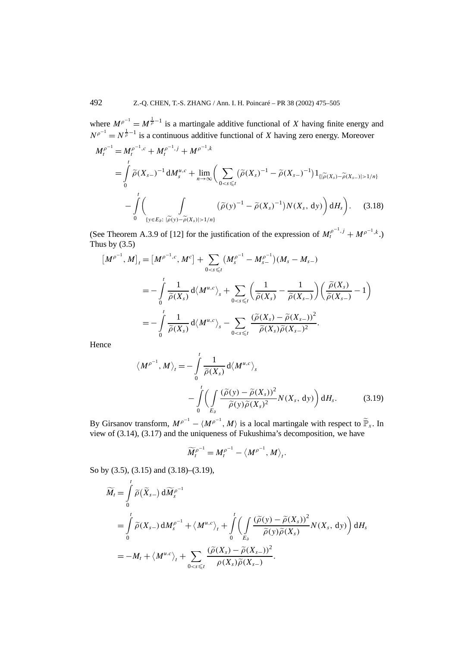where  $M^{\rho^{-1}} = M^{\frac{1}{\rho}-1}$  is a martingale additive functional of *X* having finite energy and  $N^{\rho^{-1}} = N^{\frac{1}{\rho}-1}$  is a continuous additive functional of *X* having zero energy. Moreover  $\mathbf{H}$  $M\theta^{-1}$   $f(x) = \theta^{-1}$   $f(x) = \theta^{-1}$ 

$$
M_t^{\rho} = M_t^{\rho} \cdot \mathcal{F} + M_t^{\rho} \cdot \mathcal{F} + M_t^{\rho} \cdot \mathcal{F} + M_t^{\rho} \cdot \mathcal{F}.
$$
  
\n
$$
= \int_0^t \tilde{\rho}(X_{s-})^{-1} dM_s^{\mu,c} + \lim_{n \to \infty} \left( \sum_{0 < s \leq t} (\tilde{\rho}(X_s)^{-1} - \tilde{\rho}(X_{s-})^{-1}) 1_{\{|\tilde{\rho}(X_s) - \tilde{\rho}(X_{s-})| > 1/n\}} - \int_0^t \left( \int_{\{y \in E_\delta : |\tilde{\rho}(y) - \tilde{\rho}(X_s)| > 1/n\}} (\tilde{\rho}(y)^{-1} - \tilde{\rho}(X_s)^{-1}) N(X_s, dy) \right) dH_s \right). \tag{3.18}
$$

(See Theorem A.3.9 of [12] for the justification of the expression of  $M_t^{\rho^{-1},j} + M^{\rho^{-1},k}$ .) Thus by  $(3.5)$ 

$$
\begin{split} \left[M^{\rho^{-1}}, M\right]_t &= \left[M^{\rho^{-1},c}, M^c\right] + \sum_{0 < s \leq t} \left(M_s^{\rho^{-1}} - M_{s-}^{\rho^{-1}}\right) \left(M_s - M_{s-}\right) \\ &= -\int_0^t \frac{1}{\widetilde{\rho}(X_s)} \, \mathrm{d} \left\langle M^{u,c} \right\rangle_s + \sum_{0 < s \leq t} \left(\frac{1}{\widetilde{\rho}(X_s)} - \frac{1}{\widetilde{\rho}(X_{s-})}\right) \left(\frac{\widetilde{\rho}(X_s)}{\widetilde{\rho}(X_{s-})} - 1\right) \\ &= -\int_0^t \frac{1}{\widetilde{\rho}(X_s)} \, \mathrm{d} \left\langle M^{u,c} \right\rangle_s - \sum_{0 < s \leq t} \frac{\left(\widetilde{\rho}(X_s) - \widetilde{\rho}(X_{s-})\right)^2}{\widetilde{\rho}(X_s) \widetilde{\rho}(X_{s-})^2} .\end{split}
$$

Hence

$$
\langle M^{\rho^{-1}}, M \rangle_t = -\int_0^t \frac{1}{\tilde{\rho}(X_s)} d\langle M^{u,c} \rangle_s
$$
  
 
$$
-\int_0^t \left( \int_{E_\partial} \frac{(\tilde{\rho}(y) - \tilde{\rho}(X_s))^2}{\tilde{\rho}(y)\tilde{\rho}(X_s)^2} N(X_s, dy) \right) dH_s.
$$
 (3.19)

By Girsanov transform,  $M^{\rho^{-1}} - \langle M^{\rho^{-1}}, M \rangle$  is a local martingale with respect to  $\tilde{\mathbb{P}}_x$ . In view of (3.14), (3.17) and the uniqueness of Fukushima's decomposition, we have

$$
\widetilde{M}_t^{\rho^{-1}} = M_t^{\rho^{-1}} - \langle M^{\rho^{-1}}, M \rangle_t.
$$

So by (3.5), (3.15) and (3.18)–(3.19),

$$
\widetilde{M}_{t} = \int_{0}^{t} \widetilde{\rho}(\widetilde{X}_{s-}) d\widetilde{M}_{s}^{\rho^{-1}} \n= \int_{0}^{t} \widetilde{\rho}(X_{s-}) dM_{s}^{\rho^{-1}} + \langle M^{u,c} \rangle_{t} + \int_{0}^{t} \left( \int_{E_{\partial}} \frac{(\widetilde{\rho}(y) - \widetilde{\rho}(X_{s}))^{2}}{\widetilde{\rho}(y)\widetilde{\rho}(X_{s})} N(X_{s}, dy) \right) dH_{s} \n= -M_{t} + \langle M^{u.c} \rangle_{t} + \sum_{0 < s \leq t} \frac{(\widetilde{\rho}(X_{s}) - \widetilde{\rho}(X_{s-}))^{2}}{\rho(X_{s})\widetilde{\rho}(X_{s-})}.
$$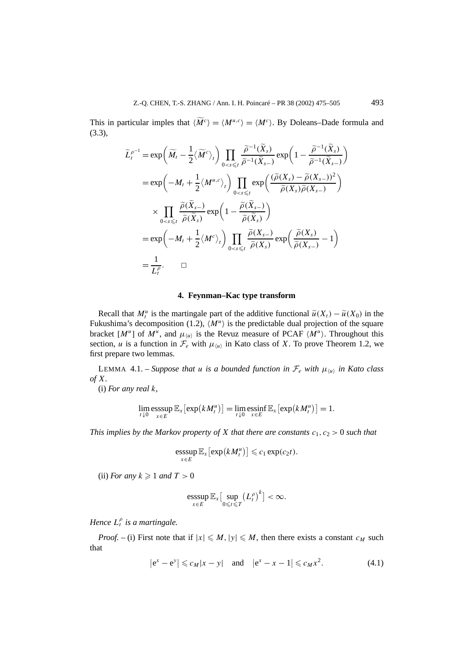This in particular imples that  $\langle \widetilde{M}^c \rangle = \langle M^u, c \rangle = \langle M^c \rangle$ . By Doleans–Dade formula and (3.3),

$$
\widetilde{L}_{t}^{\rho^{-1}} = \exp\left(\widetilde{M}_{t} - \frac{1}{2}\langle\widetilde{M}^{c}\rangle_{t}\right) \prod_{0 < s \leq t} \frac{\widetilde{\rho}^{-1}(\widetilde{X}_{s})}{\widetilde{\rho}^{-1}(\widetilde{X}_{s-})} \exp\left(1 - \frac{\widetilde{\rho}^{-1}(\widetilde{X}_{s})}{\widetilde{\rho}^{-1}(\widetilde{X}_{s-})}\right)
$$
\n
$$
= \exp\left(-M_{t} + \frac{1}{2}\langle M^{u,c}\rangle_{t}\right) \prod_{0 < s \leq t} \exp\left(\frac{(\widetilde{\rho}(X_{s}) - \widetilde{\rho}(X_{s-}))^{2}}{\widetilde{\rho}(X_{s})\widetilde{\rho}(X_{s-})}\right)
$$
\n
$$
\times \prod_{0 < s \leq t} \frac{\widetilde{\rho}(\widetilde{X}_{s-})}{\widetilde{\rho}(\widetilde{X}_{s})} \exp\left(1 - \frac{\widetilde{\rho}(\widetilde{X}_{s-})}{\widetilde{\rho}(\widetilde{X}_{s})}\right)
$$
\n
$$
= \exp\left(-M_{t} + \frac{1}{2}\langle M^{c}\rangle_{t}\right) \prod_{0 < s \leq t} \frac{\widetilde{\rho}(X_{s-})}{\widetilde{\rho}(X_{s})} \exp\left(\frac{\widetilde{\rho}(X_{s})}{\widetilde{\rho}(X_{s-})} - 1\right)
$$
\n
$$
= \frac{1}{L_{t}^{\rho}}.\qquad \Box
$$

#### **4. Feynman–Kac type transform**

Recall that  $M_t^u$  is the martingale part of the additive functional  $\tilde{u}(X_t) - \tilde{u}(X_0)$  in the Fukushima's decomposition (1.2),  $\langle M^{\mu} \rangle$  is the predictable dual projection of the square bracket  $[M^u]$  of  $M^u$ , and  $\mu_{\langle u \rangle}$  is the Revuz measure of PCAF  $\langle M^u \rangle$ . Throughout this section, *u* is a function in  $\mathcal{F}_e$  with  $\mu_{\langle u \rangle}$  in Kato class of *X*. To prove Theorem 1.2, we first prepare two lemmas.

LEMMA 4.1. – *Suppose that u is a bounded function in*  $\mathcal{F}_e$  *with*  $\mu_{\langle u \rangle}$  *in Kato class of X.*

(i) *For any real k,*

$$
\lim_{t\downarrow 0}\operatorname{esssup}_{x\in E}\mathbb{E}_x\big[\exp\big(kM_t^u\big)\big]=\lim_{t\downarrow 0}\operatorname{essinf}_{x\in E}\mathbb{E}_x\big[\exp\big(kM_t^u\big)\big]=1.
$$

*This implies by the Markov property of X that there are constants*  $c_1$ ,  $c_2 > 0$  *such that* 

$$
\operatorname*{esssup}_{x\in E} \mathbb{E}_x \big[\exp\big(kM_t^u\big)\big] \leqslant c_1 \exp(c_2 t).
$$

(ii) *For any*  $k \geq 1$  *and*  $T > 0$ 

$$
\underset{x\in E}{\operatorname{esssup}}\,\mathbb{E}_x\big[\underset{0\leqslant t\leqslant T}{\sup}\big(L_t^\rho\big)^k\big]<\infty.
$$

*Hence L<sup>ρ</sup> <sup>t</sup> is a martingale.*

*Proof.* – (i) First note that if  $|x| \le M$ ,  $|y| \le M$ , then there exists a constant  $c_M$  such that

$$
|e^x - e^y| \le c_M |x - y|
$$
 and  $|e^x - x - 1| \le c_M x^2$ . (4.1)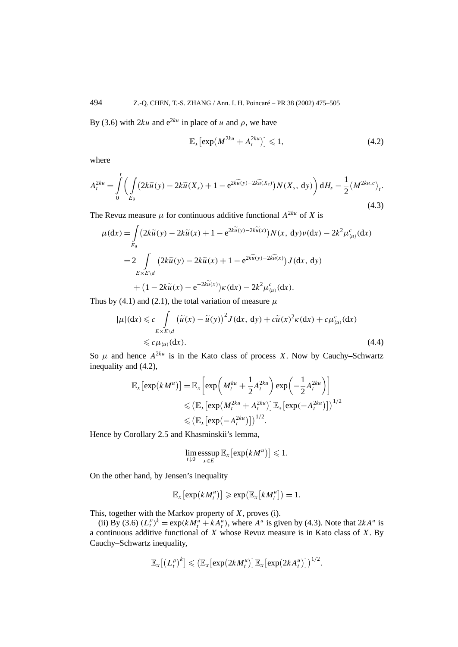By (3.6) with 2*ku* and  $e^{2ku}$  in place of *u* and  $\rho$ , we have

$$
\mathbb{E}_x\left[\exp\left(M^{2ku}+A_t^{2ku}\right)\right]\leqslant 1,\tag{4.2}
$$

where

$$
A_t^{2ku} = \int_0^t \left( \int_{E_\partial} \left( 2k \widetilde{u}(y) - 2k \widetilde{u}(X_s) + 1 - e^{2k \widetilde{u}(y) - 2k \widetilde{u}(X_s)} \right) N(X_s, dy) \right) dH_s - \frac{1}{2} \langle M^{2ku, c} \rangle_t.
$$
\n(4.3)

The Revuz measure  $\mu$  for continuous additive functional  $A^{2ku}$  of *X* is

$$
\mu(\mathrm{d}x) = \int_{E_{\partial}} \left( 2k \widetilde{u}(y) - 2k \widetilde{u}(x) + 1 - e^{2k \widetilde{u}(y) - 2k \widetilde{u}(x)} \right) N(x, \mathrm{d}y) \nu(\mathrm{d}x) - 2k^2 \mu_{\langle u \rangle}^c(\mathrm{d}x)
$$
  
= 
$$
2 \int_{E \times E \backslash d} \left( 2k \widetilde{u}(y) - 2k \widetilde{u}(x) + 1 - e^{2k \widetilde{u}(y) - 2k \widetilde{u}(x)} \right) J(\mathrm{d}x, \mathrm{d}y)
$$
  
+ 
$$
\left( 1 - 2k \widetilde{u}(x) - e^{-2k \widetilde{u}(x)} \right) \kappa(\mathrm{d}x) - 2k^2 \mu_{\langle u \rangle}^c(\mathrm{d}x).
$$

Thus by (4.1) and (2.1), the total variation of measure  $\mu$ 

$$
|\mu|(dx) \leq c \int_{E \times E \backslash d} (\tilde{u}(x) - \tilde{u}(y))^2 J(dx, dy) + c\tilde{u}(x)^2 \kappa(dx) + c\mu_{\langle u \rangle}^c(dx)
$$
  
 
$$
\leq c\mu_{\langle u \rangle}(dx).
$$
 (4.4)

So  $\mu$  and hence  $A^{2ku}$  is in the Kato class of process *X*. Now by Cauchy–Schwartz inequality and (4.2),

$$
\mathbb{E}_{x} \left[ \exp(kM^{u}) \right] = \mathbb{E}_{x} \left[ \exp\left(M_{t}^{ku} + \frac{1}{2} A_{t}^{2ku}\right) \exp\left(-\frac{1}{2} A_{t}^{2ku}\right) \right]
$$
  
\n
$$
\leqslant \left( \mathbb{E}_{x} \left[ \exp(M_{t}^{2ku} + A_{t}^{2ku}) \right] \mathbb{E}_{x} \left[ \exp(-A_{t}^{2ku}) \right] \right)^{1/2}
$$
  
\n
$$
\leqslant \left( \mathbb{E}_{x} \left[ \exp(-A_{t}^{2ku}) \right] \right)^{1/2}.
$$

Hence by Corollary 2.5 and Khasminskii's lemma,

$$
\lim_{t\downarrow 0} \operatorname*{esssup}_{x\in E} \mathbb{E}_x \big[ \exp\big(kM^u\big)\big] \leqslant 1.
$$

On the other hand, by Jensen's inequality

$$
\mathbb{E}_x[\exp(kM_t^u)] \geq \exp(\mathbb{E}_x[kM_t^u]) = 1.
$$

This, together with the Markov property of *X*, proves (i).

(ii) By (3.6)  $(L_t^{\rho})^k = \exp(kM_t^u + kA_t^u)$ , where  $A^u$  is given by (4.3). Note that  $2kA^u$  is a continuous additive functional of *X* whose Revuz measure is in Kato class of *X*. By Cauchy–Schwartz inequality,

$$
\mathbb{E}_x\big[\big(L_t^{\rho}\big)^k\big] \leqslant \big(\mathbb{E}_x\big[\exp\big(2kM_t^u\big)\big]\mathbb{E}_x\big[\exp\big(2kA_t^u\big)\big]\big)^{1/2}.
$$

1*/*2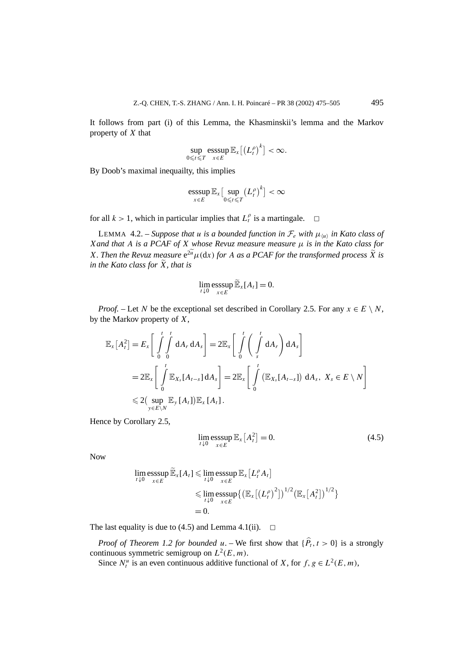It follows from part (i) of this Lemma, the Khasminskii's lemma and the Markov property of *X* that

$$
\sup_{0\leq t\leq T}\operatorname*{esssup}_{x\in E}\mathbb{E}_x\big[\big(L_t^\rho\big)^k\big]<\infty.
$$

By Doob's maximal inequailty, this implies

$$
\underset{x \in E}{\operatorname{esssup}} \mathbb{E}_x \big[ \underset{0 \leq t \leq T}{\operatorname{sup}} \big(L_t^{\rho}\big)^k \big] < \infty
$$

for all  $k > 1$ , which in particular implies that  $L_t^{\rho}$  is a martingale.  $\Box$ 

LEMMA 4.2. – *Suppose that u is a bounded function in*  $\mathcal{F}_e$  *with*  $\mu_{\langle u \rangle}$  *in Kato class of Xand that A is a PCAF of X whose Revuz measure measure µ is in the Kato class for X. Then the Revuz measure*  $e^{2\tilde{u}}\mu(dx)$  *for A as a PCAF for the transformed process*  $\tilde{X}$  *is in the Kato class for X, that is*

$$
\lim_{t\downarrow 0}\operatorname*{esssup}_{x\in E}\widetilde{\mathbb{E}}_{x}[A_{t}]=0.
$$

*Proof.* – Let *N* be the exceptional set described in Corollary 2.5. For any  $x \in E \setminus N$ , by the Markov property of *X*,

$$
\mathbb{E}_{x}\left[A_{t}^{2}\right] = E_{x}\left[\int_{0}^{t} \int_{0}^{t} dA_{r} dA_{s}\right] = 2\mathbb{E}_{x}\left[\int_{0}^{t} \left(\int_{s}^{t} dA_{r}\right) dA_{s}\right]
$$
  
\n
$$
= 2\mathbb{E}_{x}\left[\int_{0}^{t} \mathbb{E}_{X_{s}}[A_{t-s}] dA_{s}\right] = 2\mathbb{E}_{x}\left[\int_{0}^{t} \left(\mathbb{E}_{X_{s}}[A_{t-s}]\right) dA_{s}, X_{s} \in E \setminus N\right]
$$
  
\n
$$
\leq 2\left(\sup_{y \in E \setminus N} \mathbb{E}_{y}\left[A_{t}\right]\right) \mathbb{E}_{x}\left[A_{t}\right].
$$

Hence by Corollary 2.5,

$$
\lim_{t \downarrow 0} \operatorname{esssup}_{x \in E} \mathbb{E}_x[A_t^2] = 0. \tag{4.5}
$$

Now

$$
\lim_{t \downarrow 0} \underset{x \in E}{\operatorname{esssup}} \widetilde{\mathbb{E}}_x[A_t] \leq \lim_{t \downarrow 0} \underset{x \in E}{\operatorname{esssup}} \mathbb{E}_x[L_t^{\rho} A_t]
$$
\n
$$
\leq \lim_{t \downarrow 0} \underset{x \in E}{\operatorname{esssup}} \{ \left( \mathbb{E}_x[(L_t^{\rho})^2] \right)^{1/2} \left( \mathbb{E}_x[A_t^2] \right)^{1/2} \}
$$
\n
$$
= 0.
$$

The last equality is due to (4.5) and Lemma 4.1(ii).  $\Box$ 

*Proof of Theorem 1.2 for bounded*  $u$ . – We first show that  $\{P_t, t > 0\}$  is a strongly continuous symmetric semigroup on *L*<sup>2</sup>*(E, m)*.

Since  $N_t^u$  is an even continuous additive functional of *X*, for  $f, g \in L^2(E, m)$ ,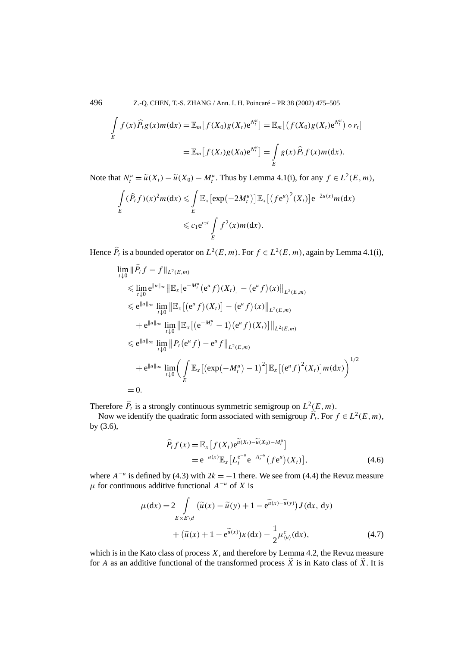496 Z.-Q. CHEN, T.-S. ZHANG / Ann. I. H. Poincaré – PR 38 (2002) 475–505

$$
\int\limits_E f(x)\widehat{P}_t g(x)m(\mathrm{d}x) = \mathbb{E}_m[f(X_0)g(X_t)\mathrm{e}^{N_t^u}] = \mathbb{E}_m[(f(X_0)g(X_t)\mathrm{e}^{N_t^u}) \circ r_t]
$$
\n
$$
= \mathbb{E}_m[f(X_t)g(X_0)\mathrm{e}^{N_t^u}] = \int\limits_E g(x)\widehat{P}_t f(x)m(\mathrm{d}x).
$$

Note that  $N_t^u = \tilde{u}(X_t) - \tilde{u}(X_0) - M_t^u$ . Thus by Lemma 4.1(i), for any  $f \in L^2(E, m)$ ,

$$
\int_{E} (\widehat{P}_t f)(x)^2 m(dx) \leq \int_{E} \mathbb{E}_x \left[ \exp\left(-2M_t^u\right) \right] \mathbb{E}_x \left[ \left(f e^u\right)^2 (X_t) \right] e^{-2u(x)} m(dx)
$$
  

$$
\leq c_1 e^{c_2 t} \int_{E} f^2(x) m(dx).
$$

Hence  $\hat{P}_t$  is a bounded operator on  $L^2(E, m)$ . For  $f \in L^2(E, m)$ , again by Lemma 4.1(i),

$$
\lim_{t \downarrow 0} \|\widehat{P}_t f - f\|_{L^2(E,m)} \n\leq \lim_{t \downarrow 0} e^{\|u\|_{\infty}} \|\mathbb{E}_x [e^{-M_t^u} (e^u f)(X_t)] - (e^u f)(x)\|_{L^2(E,m)} \n\leq e^{\|u\|_{\infty}} \lim_{t \downarrow 0} \|\mathbb{E}_x [(e^u f)(X_t)] - (e^u f)(x)\|_{L^2(E,m)} \n+ e^{\|u\|_{\infty}} \lim_{t \downarrow 0} \|\mathbb{E}_x [(e^{-M_t^u} - 1)(e^u f)(X_t)]\|_{L^2(E,m)} \n\leq e^{\|u\|_{\infty}} \lim_{t \downarrow 0} \|P_t (e^u f) - e^u f\|_{L^2(E,m)} \n+ e^{\|u\|_{\infty}} \lim_{t \downarrow 0} \left(\int_E \mathbb{E}_x [(exp(-M_t^u) - 1)^2] \mathbb{E}_x [(e^u f)^2(X_t)] m(dx)\right)^{1/2} \n= 0.
$$

Therefore  $\hat{P}_t$  is a strongly continuous symmetric semigroup on  $L^2(E, m)$ .

Now we identify the quadratic form associated with semigroup  $\hat{P}_t$ . For  $f \in L^2(E, m)$ , by (3.6),

$$
\widehat{P}_t f(x) = \mathbb{E}_x \left[ f(X_t) e^{\widetilde{u}(X_t) - \widetilde{u}(X_0) - M_t^u} \right]
$$
\n
$$
= e^{-u(x)} \mathbb{E}_x \left[ L_t^{e^{-u}} e^{-A_t^{-u}} (f e^u)(X_t) \right],
$$
\n(4.6)

where  $A^{-u}$  is defined by (4.3) with  $2k = -1$  there. We see from (4.4) the Revuz measure  $\mu$  for continuous additive functional  $A^{-u}$  of *X* is

$$
\mu(\mathrm{d}x) = 2 \int\limits_{E \times E \backslash d} (\widetilde{u}(x) - \widetilde{u}(y) + 1 - e^{\widetilde{u}(x) - \widetilde{u}(y)}) J(\mathrm{d}x, \mathrm{d}y) \n+ (\widetilde{u}(x) + 1 - e^{\widetilde{u}(x)}) \kappa(\mathrm{d}x) - \frac{1}{2} \mu_{\langle u \rangle}^c(\mathrm{d}x),
$$
\n(4.7)

which is in the Kato class of process *X*, and therefore by Lemma 4.2, the Revuz measure for *A* as an additive functional of the transformed process  $\tilde{X}$  is in Kato class of  $\tilde{X}$ . It is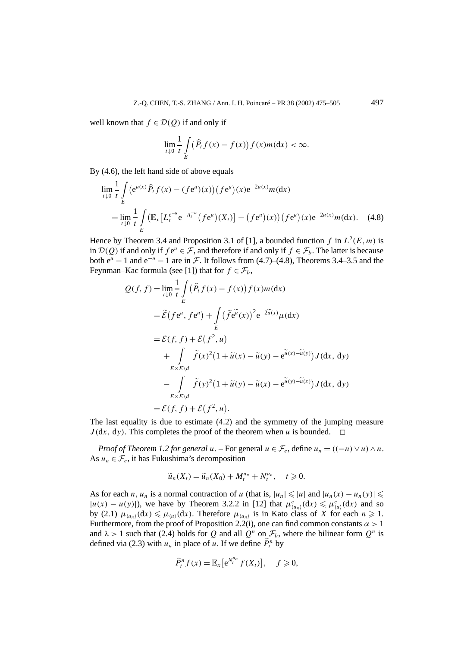well known that  $f \in \mathcal{D}(Q)$  if and only if

$$
\lim_{t\downarrow 0}\frac{1}{t}\int\limits_{E}\big(\widehat{P}_t f(x)-f(x)\big)f(x)m(\mathrm{d}x)<\infty.
$$

By (4.6), the left hand side of above equals

$$
\lim_{t \downarrow 0} \frac{1}{t} \int_{E} (e^{u(x)} \hat{P}_t f(x) - (f e^u)(x)) (f e^u)(x) e^{-2u(x)} m(dx)
$$
\n
$$
= \lim_{t \downarrow 0} \frac{1}{t} \int_{E} (\mathbb{E}_x [L_t^{e^{-u}} e^{-A_t^{-u}} (f e^u)(X_t)] - (f e^u)(x)) (f e^u)(x) e^{-2u(x)} m(dx). \quad (4.8)
$$

Hence by Theorem 3.4 and Proposition 3.1 of [1], a bounded function *f* in  $L^2(E, m)$  is in  $D(Q)$  if and only if  $fe^u \in F$ , and therefore if and only if  $f \in \mathcal{F}_b$ . The latter is because both  $e^u - 1$  and  $e^{-u} - 1$  are in F. It follows from (4.7)–(4.8), Theorems 3.4–3.5 and the Feynman–Kac formula (see [1]) that for  $f \in \mathcal{F}_b$ ,

$$
Q(f, f) = \lim_{t \downarrow 0} \frac{1}{t} \int_{E} (\hat{P}_t f(x) - f(x)) f(x) m(dx)
$$
  
\n
$$
= \tilde{\mathcal{E}} (f e^u, f e^u) + \int_{E} (\tilde{f} e^{\tilde{u}}(x))^2 e^{-2\tilde{u}(x)} \mu(dx)
$$
  
\n
$$
= \mathcal{E}(f, f) + \mathcal{E}(f^2, u)
$$
  
\n
$$
+ \int_{E \times E \backslash d} \tilde{f}(x)^2 (1 + \tilde{u}(x) - \tilde{u}(y) - e^{\tilde{u}(x) - \tilde{u}(y)}) J(dx, dy)
$$
  
\n
$$
- \int_{E \times E \backslash d} \tilde{f}(y)^2 (1 + \tilde{u}(y) - \tilde{u}(x) - e^{\tilde{u}(y) - \tilde{u}(x)}) J(dx, dy)
$$
  
\n
$$
= \mathcal{E}(f, f) + \mathcal{E}(f^2, u).
$$

The last equality is due to estimate (4.2) and the symmetry of the jumping measure  $J(dx, dy)$ . This completes the proof of the theorem when *u* is bounded.  $\square$ 

*Proof of Theorem 1.2 for general*  $u$ . – For general  $u \in \mathcal{F}_e$ , define  $u_n = ((-n) \vee u) \wedge n$ . As  $u_n \in \mathcal{F}_e$ , it has Fukushima's decomposition

$$
\widetilde{u}_n(X_t) = \widetilde{u}_n(X_0) + M_t^{u_n} + N_t^{u_n}, \quad t \geq 0.
$$

As for each *n*, *u<sub>n</sub>* is a normal contraction of *u* (that is,  $|u_n| \le |u|$  and  $|u_n(x) - u_n(y)| \le$  $|u(x) - u(y)|$ , we have by Theorem 3.2.2 in [12] that  $\mu^c_{\langle u_n \rangle}(dx) \le \mu^c_{\langle u \rangle}(dx)$  and so by (2.1)  $\mu_{\langle u_n \rangle}(dx) \le \mu_{\langle u \rangle}(dx)$ . Therefore  $\mu_{\langle u_n \rangle}$  is in Kato class of *X* for each  $n \ge 1$ . Furthermore, from the proof of Proposition 2.2(i), one can find common constants  $\alpha > 1$ and  $\lambda > 1$  such that (2.4) holds for *Q* and all  $Q^n$  on  $\mathcal{F}_b$ , where the bilinear form  $Q^n$  is defined via (2.3) with  $u_n$  in place of  $u$ . If we define  $\hat{P}_t^n$  by

$$
\widehat{P}_t^n f(x) = \mathbb{E}_x \big[ e^{N_t^{u_n}} f(X_t) \big], \quad f \geqslant 0,
$$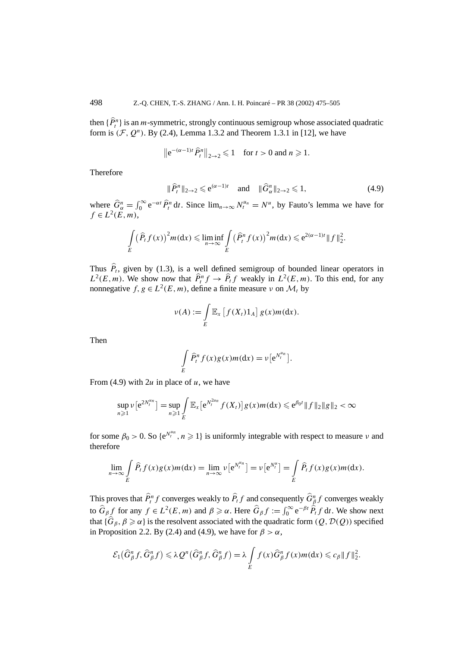then  $\{P_t^n\}$  is an *m*-symmetric, strongly continuous semigroup whose associated quadratic form is  $(F, O^n)$ . By (2.4), Lemma 1.3.2 and Theorem 1.3.1 in [12], we have

$$
\left\|e^{-(\alpha-1)t}\widehat{P}_t^n\right\|_{2\to 2} \leq 1 \quad \text{for } t>0 \text{ and } n\geq 1.
$$

Therefore

$$
\|\widehat{P}_t^n\|_{2\to 2} \leqslant e^{(\alpha-1)t} \quad \text{and} \quad \|\widehat{G}_\alpha^n\|_{2\to 2} \leqslant 1,\tag{4.9}
$$

where  $\hat{G}_{\alpha}^{n} = \int_{0}^{\infty} e^{-\alpha t} \hat{P}_{t}^{n} dt$ . Since  $\lim_{n\to\infty} N_{t}^{u_n} = N^{u}$ , by Fauto's lemma we have for  $f \in L^2(E, m)$ ,

$$
\int\limits_E (\widehat{P}_t f(x))^2 m(dx) \leqslant \liminf\limits_{n\to\infty} \int\limits_E (\widehat{P}_t^n f(x))^2 m(dx) \leqslant e^{2(\alpha-1)t} \|f\|_2^2.
$$

Thus  $P_t$ , given by (1.3), is a well defined semigroup of bounded linear operators in  $L^2(E, m)$ . We show now that  $\hat{P}_t^n f \to \hat{P}_t f$  weakly in  $L^2(E, m)$ . To this end, for any nonnegative  $f, g \in L^2(E, m)$ , define a finite measure *ν* on  $\mathcal{M}_t$  by

$$
\nu(A) := \int\limits_E \mathbb{E}_x \left[ f(X_t) 1_A \right] g(x) m(dx).
$$

Then

$$
\int\limits_E \widehat{P}_t^n f(x)g(x)m(\mathrm{d}x)=\nu\big[e^{N_t^{u_n}}\big].
$$

From (4.9) with 2*u* in place of *u*, we have

$$
\sup_{n\geq 1} \nu \left[e^{2N_t^{u_n}}\right] = \sup_{n\geq 1} \int\limits_E \mathbb{E}_x \left[e^{N_t^{2u_n}} f(X_t)\right] g(x) m(dx) \leqslant e^{\beta_0 t} \|f\|_2 \|g\|_2 < \infty
$$

for some  $\beta_0 > 0$ . So  $\{e^{N_t^{u_n}}, n \ge 1\}$  is uniformly integrable with respect to measure *ν* and therefore

$$
\lim_{n\to\infty}\int\limits_E\widehat{P}_t f(x)g(x)m(\mathrm{d}x)=\lim_{n\to\infty}\nu\big[e^{N_t^{un}}\big]=\nu\big[e^{N_t^{u}}\big]=\int\limits_E\widehat{P}_t f(x)g(x)m(\mathrm{d}x).
$$

This proves that  $\hat{P}_t^n f$  converges weakly to  $\hat{P}_t f$  and consequently  $\hat{G}_{\beta}^n f$  converges weakly to  $\hat{G}_{\beta} f$  for any  $f \in L^2(E, m)$  and  $\beta \geq \alpha$ . Here  $\hat{G}_{\beta} f := \int_0^\infty e^{-\beta t} \hat{P}_t f dt$ . We show next that  ${\{\hat{G}_{\beta}, \beta \ge \alpha\}}$  is the resolvent associated with the quadratic form  $(Q, \mathcal{D}(Q))$  specified in Proposition 2.2. By (2.4) and (4.9), we have for  $\beta > \alpha$ ,

$$
\mathcal{E}_1(\widehat{G}_{\beta}^n f, \widehat{G}_{\beta}^n f) \leqslant \lambda Q^n(\widehat{G}_{\beta}^n f, \widehat{G}_{\beta}^n f) = \lambda \int\limits_E f(x) \widehat{G}_{\beta}^n f(x) m(dx) \leqslant c_{\beta} ||f||_2^2.
$$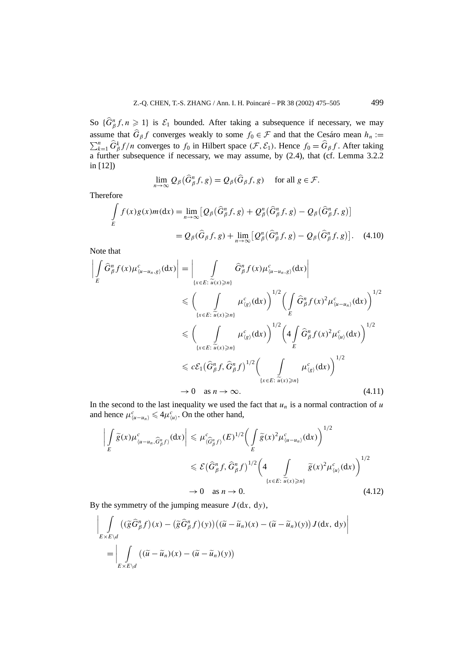So  $\{\widehat{G}_{\beta}^n f, n \geq 1\}$  is  $\mathcal{E}_1$  bounded. After taking a subsequence if necessary, we may assume that  $\hat{G}_{\beta}f$  converges weakly to some  $f_0 \in \mathcal{F}$  and that the Cesáro mean  $h_n :=$  $\sum_{k=1}^{n} \hat{G}_{\beta}^{k} f/n$  converges to *f*<sub>0</sub> in Hilbert space  $(F, \mathcal{E}_{1})$ . Hence  $f_{0} = \hat{G}_{\beta} f$ . After taking a further subsequence if necessary, we may assume, by  $(2.4)$ , that (cf. Lemma 3.2.2) in [12])

$$
\lim_{n\to\infty} Q_\beta(\widehat{G}^n_\beta f, g) = Q_\beta(\widehat{G}_\beta f, g) \quad \text{ for all } g \in \mathcal{F}.
$$

Therefore

$$
\int_{E} f(x)g(x)m(\mathrm{d}x) = \lim_{n \to \infty} \left[ Q_{\beta}(\widehat{G}_{\beta}^{n}f, g) + Q_{\beta}^{n}(\widehat{G}_{\beta}^{n}f, g) - Q_{\beta}(\widehat{G}_{\beta}^{n}f, g) \right]
$$
\n
$$
= Q_{\beta}(\widehat{G}_{\beta}f, g) + \lim_{n \to \infty} \left[ Q_{\beta}^{n}(\widehat{G}_{\beta}^{n}f, g) - Q_{\beta}(\widehat{G}_{\beta}^{n}f, g) \right]. \quad (4.10)
$$

Note that

$$
\left| \int_{E} \hat{G}_{\beta}^{n} f(x) \mu_{(u-u_{n},g)}^{c}(dx) \right| = \left| \int_{\{x \in E : \widetilde{u}(x) \ge n\}} \hat{G}_{\beta}^{n} f(x) \mu_{(u-u_{n},g)}^{c}(dx) \right|
$$
\n
$$
\leq \left( \int_{\{x \in E : \widetilde{u}(x) \ge n\}} \mu_{(g)}^{c}(dx) \right)^{1/2} \left( \int_{E} \hat{G}_{\beta}^{n} f(x)^{2} \mu_{(u-u_{n})}^{c}(dx) \right)^{1/2}
$$
\n
$$
\leq \left( \int_{\{x \in E : \widetilde{u}(x) \ge n\}} \mu_{(g)}^{c}(dx) \right)^{1/2} \left( 4 \int_{E} \hat{G}_{\beta}^{n} f(x)^{2} \mu_{(u)}^{c}(dx) \right)^{1/2}
$$
\n
$$
\leq c \mathcal{E}_{1} \left( \hat{G}_{\beta}^{n} f, \hat{G}_{\beta}^{n} f \right)^{1/2} \left( \int_{\{x \in E : \widetilde{u}(x) \ge n\}} \mu_{(g)}^{c}(dx) \right)^{1/2}
$$
\n
$$
\to 0 \quad \text{as } n \to \infty.
$$
\n(4.11)

In the second to the last inequality we used the fact that  $u_n$  is a normal contraction of  $u$ and hence  $\mu_{\langle u-u_n \rangle}^c \leq 4\mu_{\langle u \rangle}^c$ . On the other hand,

$$
\left| \int_{E} \widetilde{g}(x) \mu_{(\mu - u_n, \widehat{G}_{\beta}^n f)}^c(\mathrm{d}x) \right| \leq \mu_{(\widehat{G}_{\beta}^n f)}^c(E)^{1/2} \left( \int_{E} \widetilde{g}(x)^2 \mu_{(\mu - u_n)}^c(\mathrm{d}x) \right)^{1/2}
$$
  

$$
\leq \mathcal{E} \left( \widehat{G}_{\beta}^n f, \widehat{G}_{\beta}^n f \right)^{1/2} \left( 4 \int_{\{x \in E : \widetilde{u}(x) \geq n\}} \widetilde{g}(x)^2 \mu_{(\mu)}^c(\mathrm{d}x) \right)^{1/2}
$$
  

$$
\to 0 \quad \text{as } n \to 0. \tag{4.12}
$$

By the symmetry of the jumping measure  $J(dx, dy)$ ,

$$
\left| \int_{E \times E \backslash d} \left( (\tilde{g} \hat{G}_{\beta}^{n} f)(x) - (\tilde{g} \hat{G}_{\beta}^{n} f)(y) \right) ((\tilde{u} - \tilde{u}_{n})(x) - (\tilde{u} - \tilde{u}_{n})(y)) J(dx, dy) \right|
$$
  
= 
$$
\left| \int_{E \times E \backslash d} \left( (\tilde{u} - \tilde{u}_{n})(x) - (\tilde{u} - \tilde{u}_{n})(y) \right) \right|
$$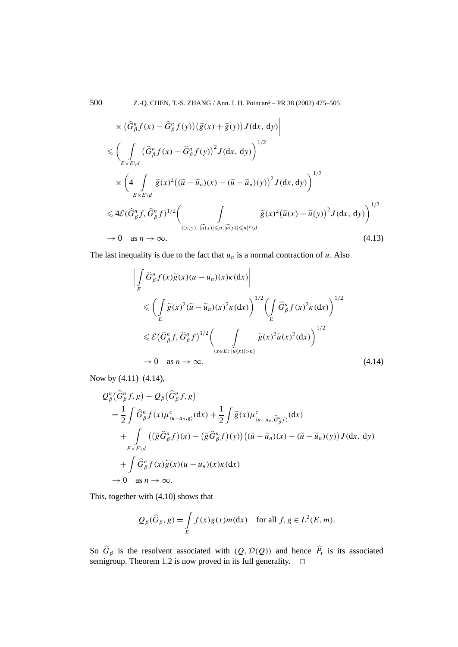500 Z.-Q. CHEN, T.-S. ZHANG / Ann. I. H. Poincaré – PR 38 (2002) 475–505

$$
\times \left(\hat{G}_{\beta}^{n} f(x) - \hat{G}_{\beta}^{n} f(y)\right) \left(\tilde{g}(x) + \tilde{g}(y)\right) J(dx, dy) \n\leq \left(\int_{E\times E\backslash d} \left(\hat{G}_{\beta}^{n} f(x) - \hat{G}_{\beta}^{n} f(y)\right)^{2} J(dx, dy)\right)^{1/2} \n\times \left(4 \int_{E\times E\backslash d} \tilde{g}(x)^{2} \left((\tilde{u} - \tilde{u}_{n})(x) - (\tilde{u} - \tilde{u}_{n})(y)\right)^{2} J(dx, dy)\right)^{1/2} \n\leq 4\mathcal{E}(\hat{G}_{\beta}^{n} f, \hat{G}_{\beta}^{n} f)^{1/2} \left(\int_{\{(x,y): |\tilde{u}(x)|\leq n, |\tilde{u}(y)|\leq n\}^{c}\backslash d} \tilde{g}(x)^{2} \left(\tilde{u}(x) - \tilde{u}(y)\right)^{2} J(dx, dy)\right)^{1/2} \n\to 0 \text{ as } n \to \infty.
$$
\n(4.13)

The last inequality is due to the fact that  $u_n$  is a normal contraction of  $u$ . Also

$$
\left| \int_{E} \hat{G}_{\beta}^{n} f(x) \tilde{g}(x) (u - u_{n})(x) \kappa(\mathrm{d}x) \right|
$$
\n
$$
\leq \left( \int_{E} \tilde{g}(x)^{2} (\tilde{u} - \tilde{u}_{n})(x)^{2} \kappa(\mathrm{d}x) \right)^{1/2} \left( \int_{E} \hat{G}_{\beta}^{n} f(x)^{2} \kappa(\mathrm{d}x) \right)^{1/2}
$$
\n
$$
\leq \mathcal{E} \left( \hat{G}_{\beta}^{n} f, \hat{G}_{\beta}^{n} f \right)^{1/2} \left( \int_{\{x \in E: \ |\tilde{u}(x)| > n\}} \tilde{g}(x)^{2} \tilde{u}(x)^{2} (\mathrm{d}x) \right)^{1/2}
$$
\n
$$
\to 0 \quad \text{as } n \to \infty.
$$
\n(4.14)

Now by (4.11)–(4.14),

$$
Q_{\beta}^{n}(\hat{G}_{\beta}^{n}f, g) - Q_{\beta}(\hat{G}_{\beta}^{n}f, g)
$$
  
\n
$$
= \frac{1}{2} \int \hat{G}_{\beta}^{n} f(x) \mu_{(u-u_{n}, g)}^{c}(dx) + \frac{1}{2} \int \tilde{g}(x) \mu_{(u-u_{n}, \hat{G}_{\beta}^{n}f)}^{c}(dx)
$$
  
\n
$$
+ \int_{E \times E \backslash d} ((\tilde{g}\hat{G}_{\beta}^{n}f)(x) - (\tilde{g}\hat{G}_{\beta}^{n}f)(y)) ((\tilde{u} - \tilde{u}_{n})(x) - (\tilde{u} - \tilde{u}_{n})(y)) J(dx, dy)
$$
  
\n
$$
+ \int \hat{G}_{\beta}^{n} f(x) \tilde{g}(x) (u - u_{n})(x) \kappa(dx)
$$
  
\n
$$
\to 0 \text{ as } n \to \infty.
$$

This, together with (4.10) shows that

$$
Q_{\beta}(\widehat{G}_{\beta}, g) = \int\limits_{E} f(x)g(x)m(\mathrm{d}x) \quad \text{for all } f, g \in L^{2}(E, m).
$$

So  $G_\beta$  is the resolvent associated with  $(Q, \mathcal{D}(Q))$  and hence  $P_t$  is its associated semigroup. Theorem 1.2 is now proved in its full generality.  $\Box$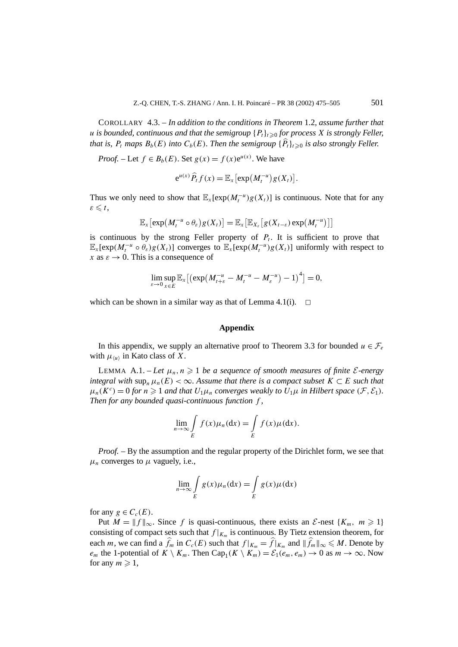COROLLARY 4.3. – *In addition to the conditions in Theorem* 1.2*, assume further that u* is bounded, continuous and that the semigroup  ${P_t}_{t\geq0}$  for process X is strongly Feller, *that is,*  $P_t$  *maps*  $B_b(E)$  *into*  $C_b(E)$ *. Then the semigroup*  $\{P_t\}_{t\geqslant 0}$  *is also strongly Feller.* 

*Proof.* – Let  $f \in B_b(E)$ . Set  $g(x) = f(x)e^{u(x)}$ . We have

$$
e^{u(x)}\widehat{P}_t f(x) = \mathbb{E}_x \big[ \exp(M_t^{-u})g(X_t) \big].
$$

Thus we only need to show that  $\mathbb{E}_x[\exp(M_t^{-u})g(X_t)]$  is continuous. Note that for any  $\varepsilon \leqslant t$ ,

$$
\mathbb{E}_x\big[\exp\big(M_t^{-u}\circ\theta_\varepsilon\big)g(X_t)\big]=\mathbb{E}_x\big[\mathbb{E}_{X_\varepsilon}\big[g(X_{t-\varepsilon})\exp\big(M_t^{-u}\big)\big]\big]
$$

is continuous by the strong Feller property of  $P_t$ . It is sufficient to prove that  $\mathbb{E}_x[\exp(M_t^{-u} \circ \theta_\varepsilon)g(X_t)]$  converges to  $\mathbb{E}_x[\exp(M_t^{-u})g(X_t)]$  uniformly with respect to *x* as  $\varepsilon \to 0$ . This is a consequence of

$$
\lim_{\varepsilon \to 0} \sup_{x \in E} \mathbb{E}_x \big[ \big( \exp \big( M_{t+\varepsilon}^{-u} - M_t^{-u} - M_{\varepsilon}^{-u} \big) - 1 \big)^4 \big] = 0,
$$

which can be shown in a similar way as that of Lemma 4.1(i).  $\Box$ 

### **Appendix**

In this appendix, we supply an alternative proof to Theorem 3.3 for bounded  $u \in \mathcal{F}_e$ with  $\mu_{\langle u \rangle}$  in Kato class of X.

LEMMA A.1. – Let  $\mu_n, n \geq 1$  be a sequence of smooth measures of finite *E*-energy *integral with* sup<sub>n</sub>  $\mu_n(E) < \infty$ . Assume that there is a compact subset  $K \subset E$  *such that*  $\mu_n(K^c) = 0$  *for*  $n \geq 1$  *and that*  $U_1 \mu_n$  *converges weakly to*  $U_1 \mu$  *in Hilbert space*  $(\mathcal{F}, \mathcal{E}_1)$ *. Then for any bounded quasi-continuous function f ,*

$$
\lim_{n \to \infty} \int\limits_E f(x) \mu_n(\mathrm{d}x) = \int\limits_E f(x) \mu(\mathrm{d}x).
$$

*Proof. –* By the assumption and the regular property of the Dirichlet form, we see that  $\mu_n$  converges to  $\mu$  vaguely, i.e.,

$$
\lim_{n \to \infty} \int\limits_E g(x) \mu_n(\mathrm{d}x) = \int\limits_E g(x) \mu(\mathrm{d}x)
$$

for any  $g \in C_c(E)$ .

Put  $M = ||f||_{\infty}$ . Since f is quasi-continuous, there exists an  $\mathcal{E}$ -nest { $K_m$ ,  $m \ge 1$ } consisting of compact sets such that  $f|_{K_m}$  is continuous. By Tietz extension theorem, for each *m*, we can find a  $\hat{f}_m$  in  $C_c(E)$  such that  $f|_{K_m} = \hat{f}|_{K_m}$  and  $||\hat{f}_m||_{\infty} \le M$ . Denote by *e<sub>m</sub>* the 1-potential of  $K \setminus K_m$ . Then Cap<sub>1</sub>( $K \setminus K_m$ ) =  $\mathcal{E}_1(e_m, e_m) \to 0$  as  $m \to \infty$ . Now for any  $m \geqslant 1$ ,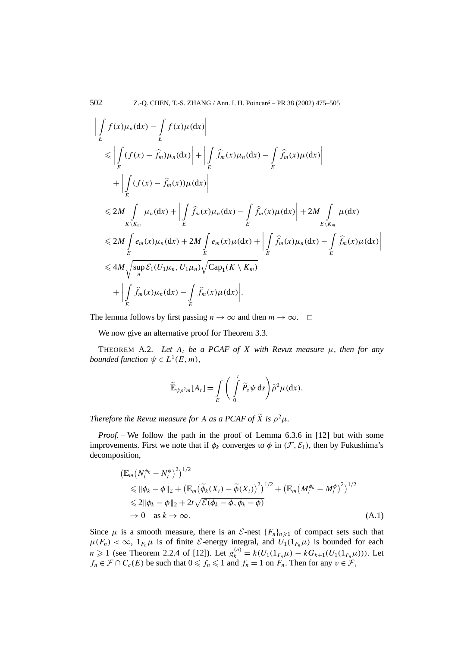$$
\left| \int_{E} f(x) \mu_n(dx) - \int_{E} f(x) \mu(dx) \right|
$$
  
\n
$$
\leq \left| \int_{E} (f(x) - \hat{f}_m) \mu_n(dx) \right| + \left| \int_{E} \hat{f}_m(x) \mu_n(dx) - \int_{E} \hat{f}_m(x) \mu(dx) \right|
$$
  
\n
$$
+ \left| \int_{E} (f(x) - \hat{f}_m(x)) \mu(dx) \right|
$$
  
\n
$$
\leq 2M \int_{K \setminus K_m} \mu_n(dx) + \left| \int_{E} \hat{f}_m(x) \mu_n(dx) - \int_{E} \hat{f}_m(x) \mu(dx) \right| + 2M \int_{E \setminus K_m} \mu(dx)
$$
  
\n
$$
\leq 2M \int_{E} e_m(x) \mu_n(dx) + 2M \int_{E} e_m(x) \mu(dx) + \left| \int_{E} \hat{f}_m(x) \mu_n(dx) - \int_{E} \hat{f}_m(x) \mu(dx) \right|
$$
  
\n
$$
\leq 4M \sqrt{\sup_{n} \mathcal{E}_1(U_1\mu_n, U_1\mu_n)} \sqrt{\text{Cap}_1(K \setminus K_m)}
$$
  
\n
$$
+ \left| \int_{E} \hat{f}_m(x) \mu_n(dx) - \int_{E} \hat{f}_m(x) \mu(dx) \right|.
$$

The lemma follows by first passing  $n \to \infty$  and then  $m \to \infty$ .  $\Box$ 

We now give an alternative proof for Theorem 3.3.

THEOREM A.2. – Let  $A_t$  be a PCAF of X with Revuz measure  $\mu$ , then for any *bounded function*  $\psi \in L^1(E, m)$ *,* 

$$
\widetilde{\mathbb{E}}_{\psi\rho^2 m}[A_t] = \int\limits_E \Bigg( \int\limits_0^t \widetilde{P}_s \psi \,ds \Bigg) \widetilde{\rho}^2 \mu(dx).
$$

*Therefore the Revuz measure for A as a PCAF of*  $\widetilde{X}$  *is*  $\rho^2 \mu$ *.* 

*Proof. –* We follow the path in the proof of Lemma 6.3.6 in [12] but with some improvements. First we note that if  $\phi_k$  converges to  $\phi$  in  $(\mathcal{F}, \mathcal{E}_1)$ , then by Fukushima's decomposition,

$$
\begin{split} & \left( \mathbb{E}_m \left( N_t^{\phi_k} - N_t^{\phi} \right)^2 \right)^{1/2} \\ &\leqslant \|\phi_k - \phi\|_2 + \left( \mathbb{E}_m \left( \widetilde{\phi}_k(X_t) - \widetilde{\phi}(X_t) \right)^2 \right)^{1/2} + \left( \mathbb{E}_m \left( M_t^{\phi_k} - M_t^{\phi} \right)^2 \right)^{1/2} \\ &\leqslant 2 \|\phi_k - \phi\|_2 + 2t \sqrt{\mathcal{E}(\phi_k - \phi, \phi_k - \phi)} \\ &\to 0 \quad \text{as } k \to \infty. \end{split} \tag{A.1}
$$

Since  $\mu$  is a smooth measure, there is an  $\mathcal{E}$ -nest  $\{F_n\}_{n\geq 1}$  of compact sets such that  $\mu(F_n) < \infty$ ,  $1_{F_n}\mu$  is of finite *E*-energy integral, and  $U_1(1_{F_n}\mu)$  is bounded for each *n* ≥ 1 (see Theorem 2.2.4 of [12]). Let  $g_k^{(n)} = k(U_1(1_{F_n}\mu) - kG_{k+1}(U_1(1_{F_n}\mu))$ ). Let  $f_n \in \mathcal{F} \cap C_c(E)$  be such that  $0 \leq f_n \leq 1$  and  $f_n = 1$  on  $F_n$ . Then for any  $v \in \mathcal{F}$ ,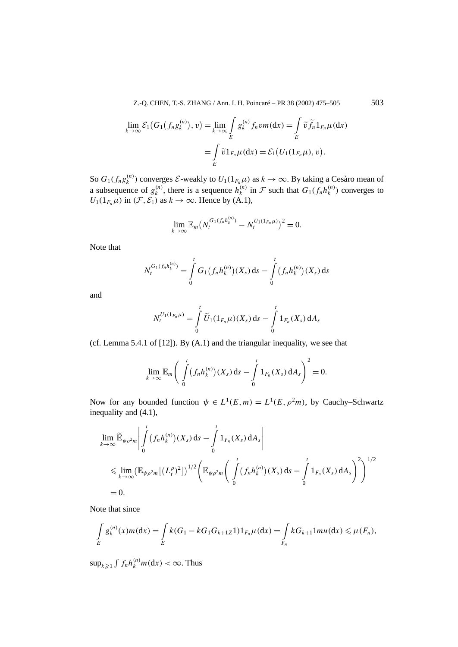Z.-O. CHEN, T.-S. ZHANG / Ann. I. H. Poincaré – PR 38 (2002) 475–505 503

$$
\lim_{k \to \infty} \mathcal{E}_1(G_1(f_n g_k^{(n)}), v) = \lim_{k \to \infty} \int_E g_k^{(n)} f_n v m(\mathrm{d}x) = \int_E \widetilde{v} \widetilde{f}_n \mathbb{1}_{F_n} \mu(\mathrm{d}x)
$$

$$
= \int_E \widetilde{v} \mathbb{1}_{F_n} \mu(\mathrm{d}x) = \mathcal{E}_1(U_1(\mathbb{1}_{F_n} \mu), v).
$$

So  $G_1(f_n g_k^{(n)})$  converges  $\mathcal{E}\text{-weakly to } U_1(1_{F_n,\mu})$  as  $k \to \infty$ . By taking a Cesàro mean of a subsequence of  $g_k^{(n)}$ , there is a sequence  $h_k^{(n)}$  in F such that  $G_1(f_n h_k^{(n)})$  converges to  $U_1(1_{F_n}\mu)$  in  $(\mathcal{F}, \mathcal{E}_1)$  as  $k \to \infty$ . Hence by (A.1),

$$
\lim_{k\to\infty} \mathbb{E}_m \big(N_t^{G_1(f_n h_k^{(n)})} - N_t^{U_1(1_{F_n}\mu)}\big)^2 = 0.
$$

Note that

$$
N_t^{G_1(f_nh_k^{(n)})} = \int\limits_0^t G_1(f_nh_k^{(n)})(X_s) \, ds - \int\limits_0^t (f_nh_k^{(n)})(X_s) \, ds
$$

and

$$
N_t^{U_1(1_{F_n}\mu)} = \int\limits_0^t \widetilde{U}_1(1_{F_n}\mu)(X_s) \, \mathrm{d} s - \int\limits_0^t 1_{F_n}(X_s) \, \mathrm{d} A_s
$$

(cf. Lemma 5.4.1 of [12]). By (A.1) and the triangular inequality, we see that

$$
\lim_{k\to\infty}\mathbb{E}_m\bigg(\int\limits_0^t(f_nh_k^{(n)})(X_s)\,ds-\int\limits_0^t1_{F_n}(X_s)\,dA_s\bigg)^2=0.
$$

Now for any bounded function  $\psi \in L^1(E, m) = L^1(E, \rho^2 m)$ , by Cauchy–Schwartz inequality and (4.1),

$$
\lim_{k \to \infty} \widetilde{\mathbb{E}}_{\psi \rho^2 m} \Big| \int_0^t (f_n h_k^{(n)}) (X_s) ds - \int_0^t 1_{F_n}(X_s) dA_s \Big|
$$
  
\$\leq\$ 
$$
\lim_{k \to \infty} (\mathbb{E}_{\psi \rho^2 m} [(L_t^{\rho})^2])^{1/2} \left( \mathbb{E}_{\psi \rho^2 m} \left( \int_0^t (f_n h_k^{(n)}) (X_s) ds - \int_0^t 1_{F_n}(X_s) dA_s \right)^2 \right)^{1/2}
$$
  
= 0.

Note that since

$$
\int_{E} g_{k}^{(n)}(x) m(dx) = \int_{E} k(G_1 - kG_1G_{k+1Z}1) 1_{F_n} \mu(dx) = \int_{F_n} kG_{k+1}1 m u(dx) \leq \mu(F_n),
$$

 $\sup_{k\geqslant 1} \int f_n h_k^{(n)} m(\mathrm{d}x) < \infty$ . Thus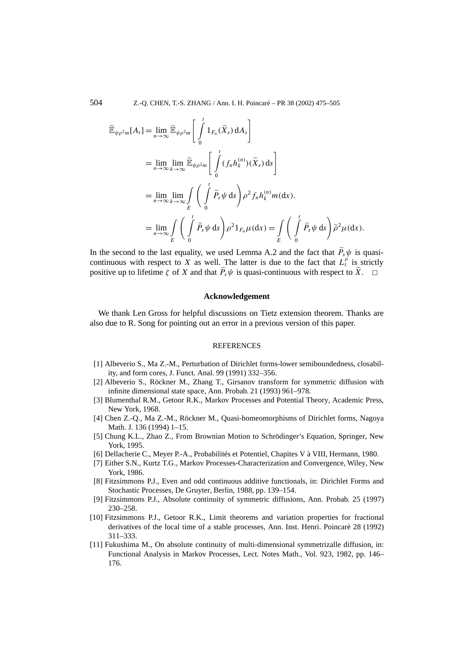504 Z.-Q. CHEN, T.-S. ZHANG / Ann. I. H. Poincaré – PR 38 (2002) 475–505

$$
\widetilde{\mathbb{E}}_{\psi\rho^{2}m}[A_{t}] = \lim_{n \to \infty} \widetilde{\mathbb{E}}_{\psi\rho^{2}m} \left[ \int_{0}^{t} 1_{F_{n}}(\widetilde{X}_{s}) dA_{s} \right]
$$
\n
$$
= \lim_{n \to \infty} \lim_{k \to \infty} \widetilde{\mathbb{E}}_{\psi\rho^{2}m} \left[ \int_{0}^{t} (f_{n}h_{k}^{(n)})(\widetilde{X}_{s}) ds \right]
$$
\n
$$
= \lim_{n \to \infty} \lim_{k \to \infty} \int_{E} \left( \int_{0}^{t} \widetilde{P}_{s} \psi ds \right) \rho^{2} f_{n}h_{k}^{(n)} m(dx).
$$
\n
$$
= \lim_{n \to \infty} \int_{E} \left( \int_{0}^{t} \widetilde{P}_{s} \psi ds \right) \rho^{2} 1_{F_{n}} \mu(dx) = \int_{E} \left( \int_{0}^{t} \widetilde{P}_{s} \psi ds \right) \widetilde{\rho}^{2} \mu(dx).
$$

In the second to the last equality, we used Lemma A.2 and the fact that  $P_s\psi$  is quasicontinuous with respect to *X* as well. The latter is due to the fact that  $L_t^{\rho}$  is strictly positive up to lifetime  $\zeta$  of *X* and that  $P_s\psi$  is quasi-continuous with respect to *X*.  $\Box$ 

## **Acknowledgement**

We thank Len Gross for helpful discussions on Tietz extension theorem. Thanks are also due to R. Song for pointing out an error in a previous version of this paper.

#### **REFERENCES**

- [1] Albeverio S., Ma Z.-M., Perturbation of Dirichlet forms-lower semiboundedness, closability, and form cores, J. Funct. Anal. 99 (1991) 332–356.
- [2] Albeverio S., Röckner M., Zhang T., Girsanov transform for symmetric diffusion with infinite dimensional state space, Ann. Probab. 21 (1993) 961–978.
- [3] Blumenthal R.M., Getoor R.K., Markov Processes and Potential Theory, Academic Press, New York, 1968.
- [4] Chen Z.-Q., Ma Z.-M., Röckner M., Quasi-homeomorphisms of Dirichlet forms, Nagoya Math. J. 136 (1994) 1–15.
- [5] Chung K.L., Zhao Z., From Brownian Motion to Schrödinger's Equation, Springer, New York, 1995.
- [6] Dellacherie C., Meyer P.-A., Probabilités et Potentiel, Chapites V à VIII, Hermann, 1980.
- [7] Either S.N., Kurtz T.G., Markov Processes-Characterization and Convergence, Wiley, New York, 1986.
- [8] Fitzsimmons P.J., Even and odd continuous additive functionals, in: Dirichlet Forms and Stochastic Processes, De Gruyter, Berlin, 1988, pp. 139–154.
- [9] Fitzsimmons P.J., Absolute continuity of symmetric diffusions, Ann. Probab. 25 (1997) 230–258.
- [10] Fitzsimmons P.J., Getoor R.K., Limit theorems and variation properties for fractional derivatives of the local time of a stable processes, Ann. Inst. Henri. Poincarè 28 (1992) 311–333.
- [11] Fukushima M., On absolute continuity of multi-dimensional symmetrizalle diffusion, in: Functional Analysis in Markov Processes, Lect. Notes Math., Vol. 923, 1982, pp. 146– 176.